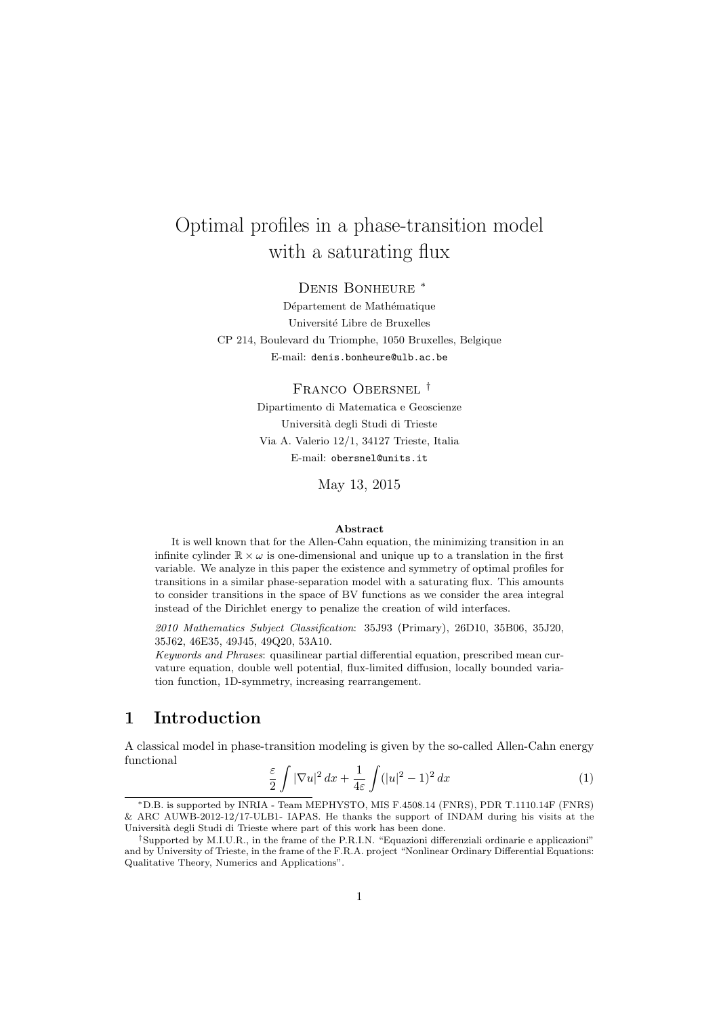# Optimal profiles in a phase-transition model with a saturating flux

Denis Bonheure <sup>∗</sup>

Département de Mathématique Université Libre de Bruxelles CP 214, Boulevard du Triomphe, 1050 Bruxelles, Belgique E-mail: denis.bonheure@ulb.ac.be

> Franco Obersnel † Dipartimento di Matematica e Geoscienze Universit`a degli Studi di Trieste Via A. Valerio 12/1, 34127 Trieste, Italia E-mail: obersnel@units.it

> > May 13, 2015

#### Abstract

It is well known that for the Allen-Cahn equation, the minimizing transition in an infinite cylinder  $\mathbb{R} \times \omega$  is one-dimensional and unique up to a translation in the first variable. We analyze in this paper the existence and symmetry of optimal profiles for transitions in a similar phase-separation model with a saturating flux. This amounts to consider transitions in the space of BV functions as we consider the area integral instead of the Dirichlet energy to penalize the creation of wild interfaces.

2010 Mathematics Subject Classification: 35J93 (Primary), 26D10, 35B06, 35J20, 35J62, 46E35, 49J45, 49Q20, 53A10.

Keywords and Phrases: quasilinear partial differential equation, prescribed mean curvature equation, double well potential, flux-limited diffusion, locally bounded variation function, 1D-symmetry, increasing rearrangement.

# 1 Introduction

A classical model in phase-transition modeling is given by the so-called Allen-Cahn energy functional

$$
\frac{\varepsilon}{2} \int |\nabla u|^2 \, dx + \frac{1}{4\varepsilon} \int (|u|^2 - 1)^2 \, dx \tag{1}
$$

<sup>∗</sup>D.B. is supported by INRIA - Team MEPHYSTO, MIS F.4508.14 (FNRS), PDR T.1110.14F (FNRS) & ARC AUWB-2012-12/17-ULB1- IAPAS. He thanks the support of INDAM during his visits at the Università degli Studi di Trieste where part of this work has been done.

<sup>†</sup>Supported by M.I.U.R., in the frame of the P.R.I.N. "Equazioni differenziali ordinarie e applicazioni" and by University of Trieste, in the frame of the F.R.A. project "Nonlinear Ordinary Differential Equations: Qualitative Theory, Numerics and Applications".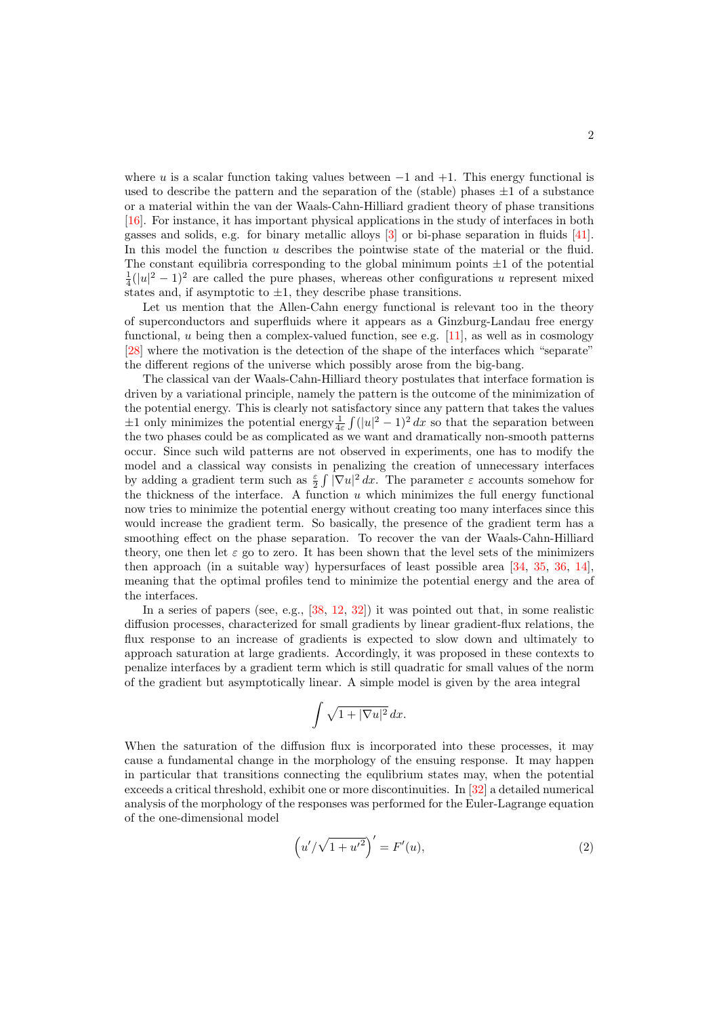where u is a scalar function taking values between  $-1$  and  $+1$ . This energy functional is used to describe the pattern and the separation of the (stable) phases  $\pm 1$  of a substance or a material within the van der Waals-Cahn-Hilliard gradient theory of phase transitions [\[16\]](#page-25-0). For instance, it has important physical applications in the study of interfaces in both gasses and solids, e.g. for binary metallic alloys [\[3\]](#page-25-1) or bi-phase separation in fluids [\[41\]](#page-27-0). In this model the function u describes the pointwise state of the material or the fluid. The constant equilibria corresponding to the global minimum points  $\pm 1$  of the potential  $\frac{1}{4}(|u|^2-1)^2$  are called the pure phases, whereas other configurations u represent mixed states and, if asymptotic to  $\pm 1$ , they describe phase transitions.

Let us mention that the Allen-Cahn energy functional is relevant too in the theory of superconductors and superfluids where it appears as a Ginzburg-Landau free energy functional,  $u$  being then a complex-valued function, see e.g.  $[11]$ , as well as in cosmology [\[28\]](#page-26-0) where the motivation is the detection of the shape of the interfaces which "separate" the different regions of the universe which possibly arose from the big-bang.

The classical van der Waals-Cahn-Hilliard theory postulates that interface formation is driven by a variational principle, namely the pattern is the outcome of the minimization of the potential energy. This is clearly not satisfactory since any pattern that takes the values  $\pm 1$  only minimizes the potential energy  $\frac{1}{4\varepsilon} \int (|u|^2 - 1)^2 dx$  so that the separation between the two phases could be as complicated as we want and dramatically non-smooth patterns occur. Since such wild patterns are not observed in experiments, one has to modify the model and a classical way consists in penalizing the creation of unnecessary interfaces by adding a gradient term such as  $\frac{\varepsilon}{2} \int |\nabla u|^2 dx$ . The parameter  $\varepsilon$  accounts somehow for the thickness of the interface. A function  $u$  which minimizes the full energy functional now tries to minimize the potential energy without creating too many interfaces since this would increase the gradient term. So basically, the presence of the gradient term has a smoothing effect on the phase separation. To recover the van der Waals-Cahn-Hilliard theory, one then let  $\varepsilon$  go to zero. It has been shown that the level sets of the minimizers then approach (in a suitable way) hypersurfaces of least possible area [\[34,](#page-26-1) [35,](#page-26-2) [36,](#page-27-1) [14\]](#page-25-3), meaning that the optimal profiles tend to minimize the potential energy and the area of the interfaces.

In a series of papers (see, e.g., [\[38,](#page-27-2) [12,](#page-25-4) [32\]](#page-26-3)) it was pointed out that, in some realistic diffusion processes, characterized for small gradients by linear gradient-flux relations, the flux response to an increase of gradients is expected to slow down and ultimately to approach saturation at large gradients. Accordingly, it was proposed in these contexts to penalize interfaces by a gradient term which is still quadratic for small values of the norm of the gradient but asymptotically linear. A simple model is given by the area integral

$$
\int \sqrt{1+|\nabla u|^2} \, dx.
$$

When the saturation of the diffusion flux is incorporated into these processes, it may cause a fundamental change in the morphology of the ensuing response. It may happen in particular that transitions connecting the equlibrium states may, when the potential exceeds a critical threshold, exhibit one or more discontinuities. In [\[32\]](#page-26-3) a detailed numerical analysis of the morphology of the responses was performed for the Euler-Lagrange equation of the one-dimensional model

<span id="page-1-0"></span>
$$
(u'/\sqrt{1+u'^2})' = F'(u),
$$
\n(2)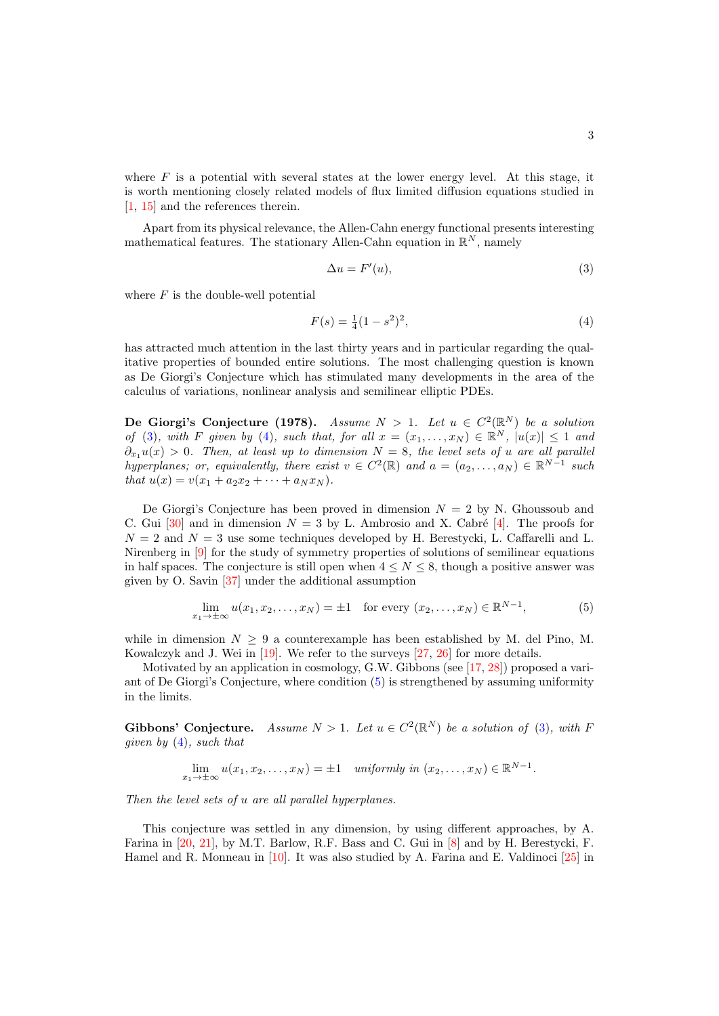where  $F$  is a potential with several states at the lower energy level. At this stage, it is worth mentioning closely related models of flux limited diffusion equations studied in [\[1,](#page-24-0) [15\]](#page-25-5) and the references therein.

Apart from its physical relevance, the Allen-Cahn energy functional presents interesting mathematical features. The stationary Allen-Cahn equation in  $\mathbb{R}^N$ , namely

<span id="page-2-1"></span><span id="page-2-0"></span>
$$
\Delta u = F'(u),\tag{3}
$$

where  $F$  is the double-well potential

$$
F(s) = \frac{1}{4}(1 - s^2)^2,
$$
\n(4)

has attracted much attention in the last thirty years and in particular regarding the qualitative properties of bounded entire solutions. The most challenging question is known as De Giorgi's Conjecture which has stimulated many developments in the area of the calculus of variations, nonlinear analysis and semilinear elliptic PDEs.

De Giorgi's Conjecture (1978). Assume  $N > 1$ . Let  $u \in C^2(\mathbb{R}^N)$  be a solution of [\(3\)](#page-2-0), with F given by [\(4\)](#page-2-1), such that, for all  $x = (x_1, \ldots, x_N) \in \mathbb{R}^N$ ,  $|u(x)| \leq 1$  and  $\partial_{x_1}u(x) > 0$ . Then, at least up to dimension  $N = 8$ , the level sets of u are all parallel hyperplanes; or, equivalently, there exist  $v \in C^2(\mathbb{R})$  and  $a = (a_2, \ldots, a_N) \in \mathbb{R}^{N-1}$  such that  $u(x) = v(x_1 + a_2x_2 + \cdots + a_Nx_N)$ .

De Giorgi's Conjecture has been proved in dimension  $N = 2$  by N. Ghoussoub and C. Gui [\[30\]](#page-26-4) and in dimension  $N = 3$  by L. Ambrosio and X. Cabré [\[4\]](#page-25-6). The proofs for  $N = 2$  and  $N = 3$  use some techniques developed by H. Berestycki, L. Caffarelli and L. Nirenberg in [\[9\]](#page-25-7) for the study of symmetry properties of solutions of semilinear equations in half spaces. The conjecture is still open when  $4 \leq N \leq 8$ , though a positive answer was given by O. Savin [\[37\]](#page-27-3) under the additional assumption

<span id="page-2-2"></span>
$$
\lim_{x_1 \to \pm \infty} u(x_1, x_2, \dots, x_N) = \pm 1 \quad \text{for every } (x_2, \dots, x_N) \in \mathbb{R}^{N-1},\tag{5}
$$

while in dimension  $N \geq 9$  a counterexample has been established by M. del Pino, M. Kowalczyk and J. Wei in [\[19\]](#page-25-8). We refer to the surveys [\[27,](#page-26-5) [26\]](#page-26-6) for more details.

Motivated by an application in cosmology, G.W. Gibbons (see [\[17,](#page-25-9) [28\]](#page-26-0)) proposed a variant of De Giorgi's Conjecture, where condition [\(5\)](#page-2-2) is strengthened by assuming uniformity in the limits.

Gibbons' Conjecture. Assume  $N > 1$ . Let  $u \in C^2(\mathbb{R}^N)$  be a solution of [\(3\)](#page-2-0), with F given by  $(4)$ , such that

$$
\lim_{x_1 \to \pm \infty} u(x_1, x_2, \dots, x_N) = \pm 1 \quad \text{uniformly in } (x_2, \dots, x_N) \in \mathbb{R}^{N-1}.
$$

Then the level sets of u are all parallel hyperplanes.

This conjecture was settled in any dimension, by using different approaches, by A. Farina in [\[20,](#page-26-7) [21\]](#page-26-8), by M.T. Barlow, R.F. Bass and C. Gui in [\[8\]](#page-25-10) and by H. Berestycki, F. Hamel and R. Monneau in [\[10\]](#page-25-11). It was also studied by A. Farina and E. Valdinoci [\[25\]](#page-26-9) in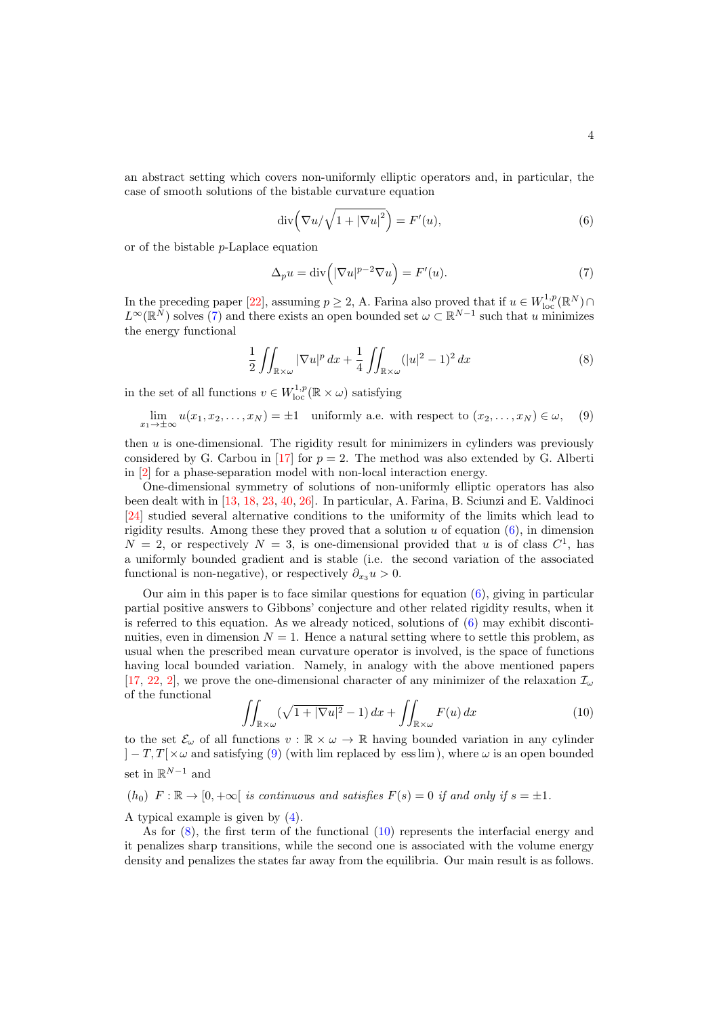an abstract setting which covers non-uniformly elliptic operators and, in particular, the case of smooth solutions of the bistable curvature equation

<span id="page-3-1"></span><span id="page-3-0"></span>
$$
\operatorname{div}\left(\nabla u/\sqrt{1+|\nabla u|^2}\right) = F'(u),\tag{6}
$$

or of the bistable p-Laplace equation

$$
\Delta_p u = \text{div}\left(|\nabla u|^{p-2} \nabla u\right) = F'(u). \tag{7}
$$

In the preceding paper [\[22\]](#page-26-10), assuming  $p \ge 2$ , A. Farina also proved that if  $u \in W^{1,p}_{loc}(\mathbb{R}^N) \cap$  $L^{\infty}(\mathbb{R}^{N})$  solves [\(7\)](#page-3-0) and there exists an open bounded set  $\omega \subset \mathbb{R}^{N-1}$  such that u minimizes the energy functional

<span id="page-3-3"></span><span id="page-3-2"></span>
$$
\frac{1}{2} \iint_{\mathbb{R} \times \omega} |\nabla u|^p \, dx + \frac{1}{4} \iint_{\mathbb{R} \times \omega} (|u|^2 - 1)^2 \, dx \tag{8}
$$

in the set of all functions  $v \in W^{1,p}_{loc}(\mathbb{R} \times \omega)$  satisfying

$$
\lim_{x_1 \to \pm \infty} u(x_1, x_2, \dots, x_N) = \pm 1 \quad \text{uniformly a.e. with respect to } (x_2, \dots, x_N) \in \omega,
$$
 (9)

then  $u$  is one-dimensional. The rigidity result for minimizers in cylinders was previously considered by G. Carbou in [\[17\]](#page-25-9) for  $p = 2$ . The method was also extended by G. Alberti in [\[2\]](#page-24-1) for a phase-separation model with non-local interaction energy.

One-dimensional symmetry of solutions of non-uniformly elliptic operators has also been dealt with in [\[13,](#page-25-12) [18,](#page-25-13) [23,](#page-26-11) [40,](#page-27-4) [26\]](#page-26-6). In particular, A. Farina, B. Sciunzi and E. Valdinoci [\[24\]](#page-26-12) studied several alternative conditions to the uniformity of the limits which lead to rigidity results. Among these they proved that a solution  $u$  of equation  $(6)$ , in dimension  $N = 2$ , or respectively  $N = 3$ , is one-dimensional provided that u is of class  $C<sup>1</sup>$ , has a uniformly bounded gradient and is stable (i.e. the second variation of the associated functional is non-negative), or respectively  $\partial_{x_3} u > 0$ .

Our aim in this paper is to face similar questions for equation  $(6)$ , giving in particular partial positive answers to Gibbons' conjecture and other related rigidity results, when it is referred to this equation. As we already noticed, solutions of  $(6)$  may exhibit discontinuities, even in dimension  $N = 1$ . Hence a natural setting where to settle this problem, as usual when the prescribed mean curvature operator is involved, is the space of functions having local bounded variation. Namely, in analogy with the above mentioned papers [\[17,](#page-25-9) [22,](#page-26-10) [2\]](#page-24-1), we prove the one-dimensional character of any minimizer of the relaxation  $\mathcal{I}_{\omega}$ of the functional

<span id="page-3-4"></span>
$$
\iint_{\mathbb{R}\times\omega} (\sqrt{1+|\nabla u|^2} - 1) \, dx + \iint_{\mathbb{R}\times\omega} F(u) \, dx \tag{10}
$$

to the set  $\mathcal{E}_{\omega}$  of all functions  $v : \mathbb{R} \times \omega \to \mathbb{R}$  having bounded variation in any cylinder  $|-T, T[\times \omega]$  and satisfying [\(9\)](#page-3-2) (with lim replaced by ess lim), where  $\omega$  is an open bounded set in  $\mathbb{R}^{N-1}$  and

 $(h_0)$   $F : \mathbb{R} \to [0, +\infty[$  is continuous and satisfies  $F(s) = 0$  if and only if  $s = \pm 1$ .

A typical example is given by [\(4\)](#page-2-1).

As for  $(8)$ , the first term of the functional  $(10)$  represents the interfacial energy and it penalizes sharp transitions, while the second one is associated with the volume energy density and penalizes the states far away from the equilibria. Our main result is as follows.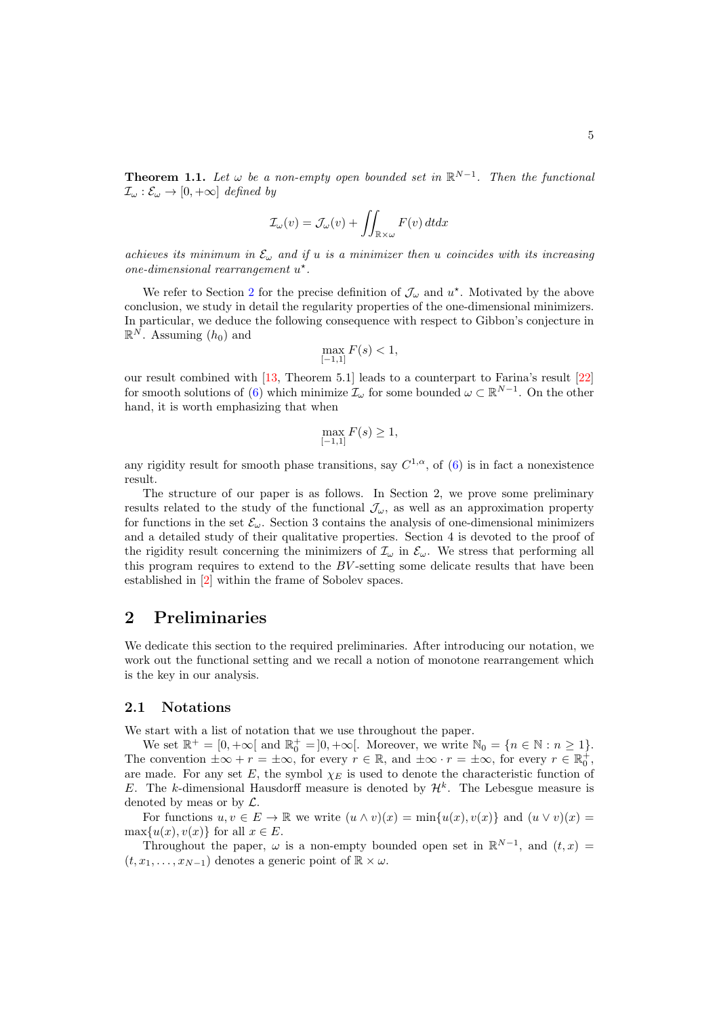$$
\mathcal{I}_{\omega}(v) = \mathcal{J}_{\omega}(v) + \iint_{\mathbb{R}\times\omega} F(v) dt dx
$$

achieves its minimum in  $\mathcal{E}_{\omega}$  and if u is a minimizer then u coincides with its increasing one-dimensional rearrangement  $u^*$ .

We refer to Section [2](#page-4-0) for the precise definition of  $\mathcal{J}_{\omega}$  and  $u^*$ . Motivated by the above conclusion, we study in detail the regularity properties of the one-dimensional minimizers. In particular, we deduce the following consequence with respect to Gibbon's conjecture in  $\mathbb{R}^N$ . Assuming  $(h_0)$  and

$$
\max_{[-1,1]} F(s) < 1,
$$

our result combined with [\[13,](#page-25-12) Theorem 5.1] leads to a counterpart to Farina's result [\[22\]](#page-26-10) for smooth solutions of [\(6\)](#page-3-1) which minimize  $\mathcal{I}_{\omega}$  for some bounded  $\omega \subset \mathbb{R}^{N-1}$ . On the other hand, it is worth emphasizing that when

$$
\max_{[-1,1]} F(s) \ge 1,
$$

any rigidity result for smooth phase transitions, say  $C^{1,\alpha}$ , of [\(6\)](#page-3-1) is in fact a nonexistence result.

The structure of our paper is as follows. In Section 2, we prove some preliminary results related to the study of the functional  $\mathcal{J}_{\omega}$ , as well as an approximation property for functions in the set  $\mathcal{E}_{\omega}$ . Section 3 contains the analysis of one-dimensional minimizers and a detailed study of their qualitative properties. Section 4 is devoted to the proof of the rigidity result concerning the minimizers of  $\mathcal{I}_{\omega}$  in  $\mathcal{E}_{\omega}$ . We stress that performing all this program requires to extend to the  $BV$ -setting some delicate results that have been established in [\[2\]](#page-24-1) within the frame of Sobolev spaces.

## <span id="page-4-0"></span>2 Preliminaries

We dedicate this section to the required preliminaries. After introducing our notation, we work out the functional setting and we recall a notion of monotone rearrangement which is the key in our analysis.

#### 2.1 Notations

We start with a list of notation that we use throughout the paper.

We set  $\mathbb{R}^+ = [0, +\infty[$  and  $\mathbb{R}_0^+ = ]0, +\infty[$ . Moreover, we write  $\mathbb{N}_0 = \{n \in \mathbb{N} : n \geq 1\}$ . The convention  $\pm \infty + r = \pm \infty$ , for every  $r \in \mathbb{R}$ , and  $\pm \infty \cdot r = \pm \infty$ , for every  $r \in \mathbb{R}_0^+$ , are made. For any set E, the symbol  $\chi_E$  is used to denote the characteristic function of E. The k-dimensional Hausdorff measure is denoted by  $\mathcal{H}^k$ . The Lebesgue measure is denoted by meas or by L.

For functions  $u, v \in E \to \mathbb{R}$  we write  $(u \wedge v)(x) = \min\{u(x), v(x)\}\$  and  $(u \vee v)(x) =$  $\max\{u(x), v(x)\}\$ for all  $x \in E$ .

Throughout the paper,  $\omega$  is a non-empty bounded open set in  $\mathbb{R}^{N-1}$ , and  $(t, x)$  $(t, x_1, \ldots, x_{N-1})$  denotes a generic point of  $\mathbb{R} \times \omega$ .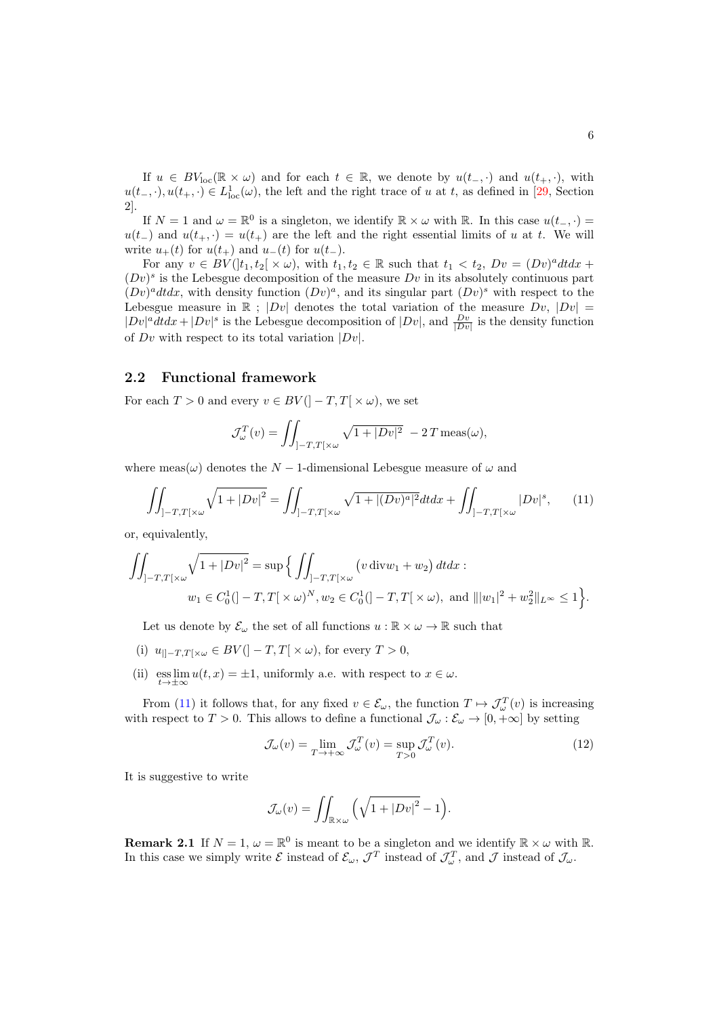If  $u \in BV_{loc}(\mathbb{R} \times \omega)$  and for each  $t \in \mathbb{R}$ , we denote by  $u(t_-, \cdot)$  and  $u(t_+, \cdot)$ , with  $u(t_-, \cdot), u(t_+, \cdot) \in L^1_{loc}(\omega)$ , the left and the right trace of u at t, as defined in [\[29,](#page-26-13) Section 2].

If  $N = 1$  and  $\omega = \mathbb{R}^0$  is a singleton, we identify  $\mathbb{R} \times \omega$  with  $\mathbb{R}$ . In this case  $u(t_-, \cdot) =$  $u(t_{-})$  and  $u(t_{+},\cdot) = u(t_{+})$  are the left and the right essential limits of u at t. We will write  $u_{+}(t)$  for  $u(t_{+})$  and  $u_{-}(t)$  for  $u(t_{-})$ .

For any  $v \in BV(]t_1, t_2[ \times \omega),$  with  $t_1, t_2 \in \mathbb{R}$  such that  $t_1 < t_2$ ,  $Dv = (Dv)^{a}dtdx +$  $(Dv)^s$  is the Lebesgue decomposition of the measure  $Dv$  in its absolutely continuous part  $(Dv)^{a}dtdx$ , with density function  $(Dv)^{a}$ , and its singular part  $(Dv)^{s}$  with respect to the Lebesgue measure in  $\mathbb{R}$ ;  $|Dv|$  denotes the total variation of the measure  $Dv$ ,  $|Dv|$  $|Dv|^a dt dx + |Dv|^s$  is the Lebesgue decomposition of  $|Dv|$ , and  $\frac{Dv}{|Dv|}$  is the density function of  $Dv$  with respect to its total variation  $|Dv|$ .

#### 2.2 Functional framework

For each  $T > 0$  and every  $v \in BV( ]-T,T[ \times \omega )$ , we set

<span id="page-5-0"></span>
$$
\mathcal{J}_{\omega}^T(v) = \iint_{]-T,T[\times\omega} \sqrt{1+|Dv|^2} - 2T \operatorname{meas}(\omega),
$$

where meas( $\omega$ ) denotes the N – 1-dimensional Lebesgue measure of  $\omega$  and

$$
\iint_{]-T,T[\times\omega} \sqrt{1+|Dv|^2} = \iint_{]-T,T[\times\omega} \sqrt{1+|(Dv)^a|^2} dt dx + \iint_{]-T,T[\times\omega} |Dv|^s, \tag{11}
$$

or, equivalently,

$$
\iint_{]-T,T[\times\omega} \sqrt{1+|Dv|^2} = \sup\left\{ \iint_{]-T,T[\times\omega} (v \operatorname{div} w_1 + w_2) dt dx : \right. \n w_1 \in C_0^1(]-T,T[\times\omega)^N, w_2 \in C_0^1(]-T,T[\times\omega), \text{ and } |||w_1|^2 + w_2^2||_{L^\infty} \le 1 \right\}.
$$

Let us denote by  $\mathcal{E}_{\omega}$  the set of all functions  $u : \mathbb{R} \times \omega \to \mathbb{R}$  such that

- (i)  $u_{\vert \vert -T, T[\times \omega \vert \in BV(\vert -T, T[\times \omega), \text{ for every } T > 0,$
- (ii)  $\operatorname*{ess\,lim}_{t\to\pm\infty}u(t,x)=\pm1$ , uniformly a.e. with respect to  $x\in\omega$ .

From [\(11\)](#page-5-0) it follows that, for any fixed  $v \in \mathcal{E}_{\omega}$ , the function  $T \mapsto \mathcal{J}_{\omega}^T(v)$  is increasing with respect to  $T > 0$ . This allows to define a functional  $\mathcal{J}_{\omega} : \mathcal{E}_{\omega} \to [0, +\infty]$  by setting

<span id="page-5-1"></span>
$$
\mathcal{J}_{\omega}(v) = \lim_{T \to +\infty} \mathcal{J}_{\omega}^{T}(v) = \sup_{T > 0} \mathcal{J}_{\omega}^{T}(v).
$$
\n(12)

It is suggestive to write

$$
\mathcal{J}_{\omega}(v) = \iint_{\mathbb{R}\times\omega} \left( \sqrt{1 + |Dv|^2} - 1 \right).
$$

**Remark 2.1** If  $N = 1$ ,  $\omega = \mathbb{R}^0$  is meant to be a singleton and we identify  $\mathbb{R} \times \omega$  with  $\mathbb{R}$ . In this case we simply write  $\mathcal E$  instead of  $\mathcal E_\omega$ ,  $\mathcal J^T$  instead of  $\mathcal J^T_\omega$ , and  $\mathcal J$  instead of  $\mathcal J_\omega$ .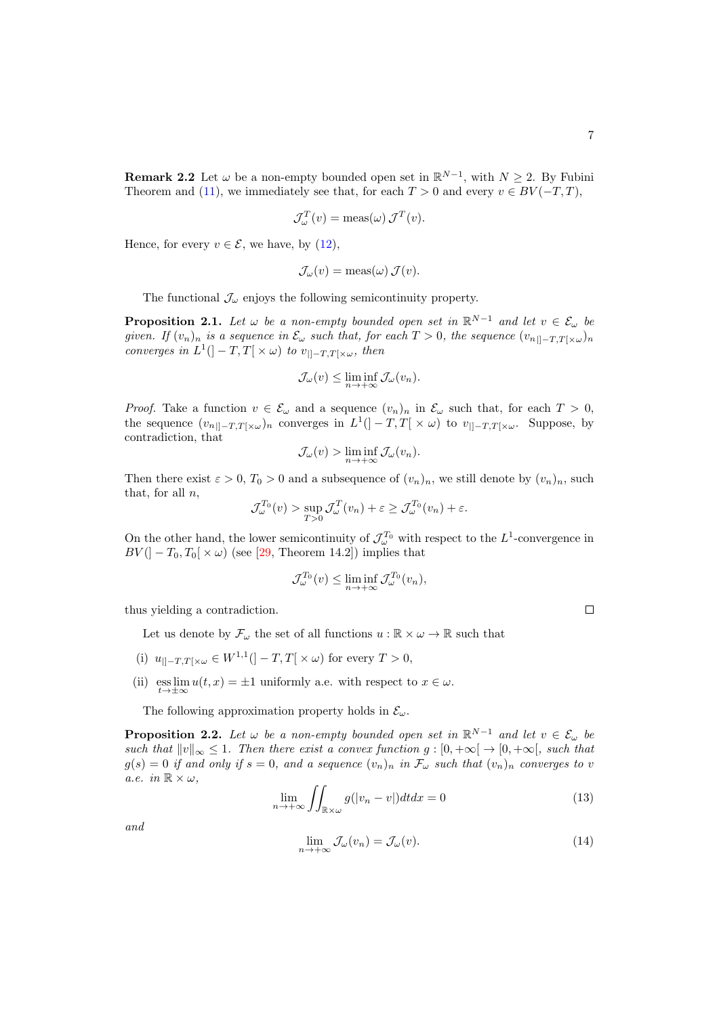**Remark 2.2** Let  $\omega$  be a non-empty bounded open set in  $\mathbb{R}^{N-1}$ , with  $N \geq 2$ . By Fubini Theorem and [\(11\)](#page-5-0), we immediately see that, for each  $T > 0$  and every  $v \in BV(-T, T)$ ,

$$
\mathcal{J}_{\omega}^{T}(v) = \text{meas}(\omega) \mathcal{J}^{T}(v).
$$

Hence, for every  $v \in \mathcal{E}$ , we have, by [\(12\)](#page-5-1),

$$
\mathcal{J}_{\omega}(v) = \operatorname{meas}(\omega) \mathcal{J}(v).
$$

The functional  $\mathcal{J}_{\omega}$  enjoys the following semicontinuity property.

<span id="page-6-2"></span>**Proposition 2.1.** Let  $\omega$  be a non-empty bounded open set in  $\mathbb{R}^{N-1}$  and let  $v \in \mathcal{E}_{\omega}$  be given. If  $(v_n)_n$  is a sequence in  $\mathcal{E}_{\omega}$  such that, for each  $T > 0$ , the sequence  $(v_{n|1-T,T[\times \omega})_n$ converges in  $L^1([-T,T[ \times \omega) \text{ to } v_{\parallel -T,T[ \times \omega}, \text{ then})$ 

$$
\mathcal{J}_{\omega}(v) \le \liminf_{n \to +\infty} \mathcal{J}_{\omega}(v_n).
$$

*Proof.* Take a function  $v \in \mathcal{E}_{\omega}$  and a sequence  $(v_n)_n$  in  $\mathcal{E}_{\omega}$  such that, for each  $T > 0$ , the sequence  $(v_{n\parallel-T,T[\times\omega})_n$  converges in  $L^1(]-T,T[ \times\omega)$  to  $v_{\parallel-T,T[\times\omega}$ . Suppose, by contradiction, that

$$
\mathcal{J}_{\omega}(v) > \liminf_{n \to +\infty} \mathcal{J}_{\omega}(v_n).
$$

Then there exist  $\varepsilon > 0$ ,  $T_0 > 0$  and a subsequence of  $(v_n)_n$ , we still denote by  $(v_n)_n$ , such that, for all  $n$ ,

$$
\mathcal{J}_{\omega}^{T_0}(v) > \sup_{T>0} \mathcal{J}_{\omega}^{T}(v_n) + \varepsilon \ge \mathcal{J}_{\omega}^{T_0}(v_n) + \varepsilon.
$$

On the other hand, the lower semicontinuity of  $\mathcal{J}_{\omega}^{T_0}$  with respect to the  $L^1$ -convergence in  $BV([-T_0, T_0[ \times \omega)$  (see [\[29,](#page-26-13) Theorem 14.2]) implies that

$$
\mathcal{J}_{\omega}^{T_0}(v) \le \liminf_{n \to +\infty} \mathcal{J}_{\omega}^{T_0}(v_n),
$$

thus yielding a contradiction.

Let us denote by  $\mathcal{F}_{\omega}$  the set of all functions  $u : \mathbb{R} \times \omega \to \mathbb{R}$  such that

- (i)  $u_{\vert]-T,T[\times\omega} \in W^{1,1}([-T,T[\times\omega)]$  for every  $T > 0$ ,
- (ii)  $\operatorname{ess} \lim_{t \to \pm \infty} u(t, x) = \pm 1$  uniformly a.e. with respect to  $x \in \omega$ .

The following approximation property holds in  $\mathcal{E}_{\omega}$ .

<span id="page-6-3"></span>**Proposition 2.2.** Let  $\omega$  be a non-empty bounded open set in  $\mathbb{R}^{N-1}$  and let  $v \in \mathcal{E}_{\omega}$  be such that  $||v||_{\infty} \leq 1$ . Then there exist a convex function  $g : [0, +\infty[ \rightarrow \infty[$ , such that  $g(s) = 0$  if and only if  $s = 0$ , and a sequence  $(v_n)_n$  in  $\mathcal{F}_{\omega}$  such that  $(v_n)_n$  converges to v a.e. in  $\mathbb{R} \times \omega$ ,

<span id="page-6-0"></span>
$$
\lim_{n \to +\infty} \iint_{\mathbb{R} \times \omega} g(|v_n - v|) dt dx = 0 \tag{13}
$$

<span id="page-6-1"></span>and

$$
\lim_{n \to +\infty} \mathcal{J}_{\omega}(v_n) = \mathcal{J}_{\omega}(v). \tag{14}
$$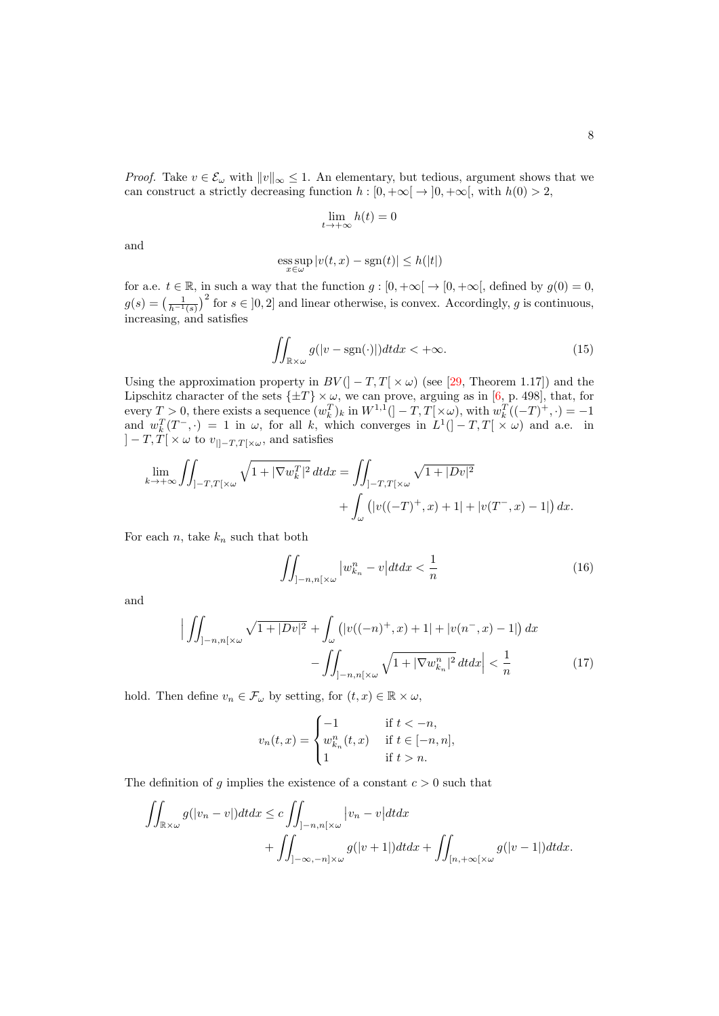*Proof.* Take  $v \in \mathcal{E}_{\omega}$  with  $||v||_{\infty} \leq 1$ . An elementary, but tedious, argument shows that we can construct a strictly decreasing function  $h : [0, +\infty[ \rightarrow ]0, +\infty[$ , with  $h(0) > 2$ ,

$$
\lim_{t \to +\infty} h(t) = 0
$$

and

$$
\operatorname*{ess\,sup}_{x\in\omega}|v(t,x)-\operatorname{sgn}(t)|\leq h(|t|)
$$

for a.e.  $t \in \mathbb{R}$ , in such a way that the function  $g : [0, +\infty[ \to [0, +\infty[$ , defined by  $g(0) = 0$ ,  $g(s) = \left(\frac{1}{h^{-1}(s)}\right)^2$  for  $s \in [0,2]$  and linear otherwise, is convex. Accordingly, g is continuous, increasing, and satisfies

<span id="page-7-0"></span>
$$
\iint_{\mathbb{R}\times\omega} g(|v - \text{sgn}(\cdot)|) dt dx < +\infty.
$$
 (15)

Using the approximation property in  $BV(]-T,T[\times\omega)$  (see [\[29,](#page-26-13) Theorem 1.17]) and the Lipschitz character of the sets  $\{\pm T\} \times \omega$ , we can prove, arguing as in [\[6,](#page-25-14) p. 498], that, for every  $T > 0$ , there exists a sequence  $(w_k^T)_k$  in  $W^{1,1}([-T,T[ \times \omega), \text{ with } w_k^T((-T)^+, \cdot) = -1$ and  $w_k^T(T^-,\cdot) = 1$  in  $\omega$ , for all k, which converges in  $L^1([-T,T[ \times \omega)$  and a.e. in  $]-T,T[ \times \omega \text{ to } v_{\vert ]-T,T[ \times \omega },$  and satisfies

$$
\lim_{k \to +\infty} \iint_{]-T,T[\times\omega} \sqrt{1+|\nabla w_k^T|^2} \, dt \, dx = \iint_{]-T,T[\times\omega} \sqrt{1+|Dv|^2} + \int_{\omega} \left( |v((-T)^+,x)+1|+|v(T^-,x)-1| \right) dx.
$$

For each  $n$ , take  $k_n$  such that both

<span id="page-7-2"></span><span id="page-7-1"></span>
$$
\iint_{]-n,n[\times\omega} |w_{k_n}^n - v| dt dx < \frac{1}{n} \tag{16}
$$

and

$$
\left| \iint_{]-n,n[\times\omega} \sqrt{1+|Dv|^2} + \int_{\omega} \left( |v((-n)^+,x) + 1| + |v(n^-,x) - 1| \right) dx - \iint_{]-n,n[\times\omega} \sqrt{1+|\nabla w_{k_n}^n|^2} \, dt dx \right| < \frac{1}{n} \tag{17}
$$

hold. Then define  $v_n \in \mathcal{F}_{\omega}$  by setting, for  $(t, x) \in \mathbb{R} \times \omega$ ,

$$
v_n(t,x) = \begin{cases} -1 & \text{if } t < -n, \\ w_{k_n}^n(t,x) & \text{if } t \in [-n,n], \\ 1 & \text{if } t > n. \end{cases}
$$

The definition of g implies the existence of a constant  $c > 0$  such that

$$
\iint_{\mathbb{R}\times\omega} g(|v_n - v|) dt dx \le c \iint_{]-n,n[\times\omega]} |v_n - v| dt dx + \iint_{]-\infty, -n]\times\omega} g(|v + 1|) dt dx + \iint_{[n, +\infty[\times\omega]} g(|v - 1|) dt dx.
$$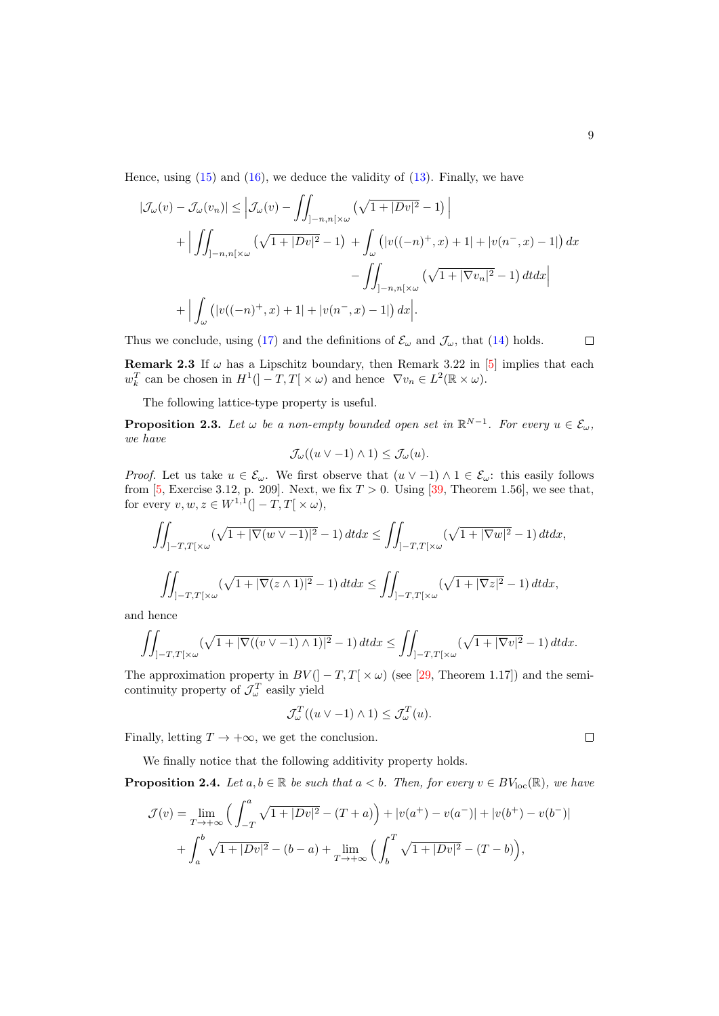Hence, using  $(15)$  and  $(16)$ , we deduce the validity of  $(13)$ . Finally, we have

$$
|\mathcal{J}_{\omega}(v) - \mathcal{J}_{\omega}(v_n)| \leq \left| \mathcal{J}_{\omega}(v) - \iint_{]-n, n[\times \omega} \left( \sqrt{1 + |Dv|^2} - 1 \right) \right|
$$
  
+ 
$$
\left| \iint_{]-n, n[\times \omega} \left( \sqrt{1 + |Dv|^2} - 1 \right) + \int_{\omega} \left( |v((-n)^+, x) + 1| + |v(n^-, x) - 1| \right) dx - \iint_{]-n, n[\times \omega} \left( \sqrt{1 + |\nabla v_n|^2} - 1 \right) dt dx \right|
$$
  
+ 
$$
\left| \int_{\omega} \left( |v((-n)^+, x) + 1| + |v(n^-, x) - 1| \right) dx \right|.
$$

Thus we conclude, using [\(17\)](#page-7-2) and the definitions of  $\mathcal{E}_{\omega}$  and  $\mathcal{J}_{\omega}$ , that [\(14\)](#page-6-1) holds.

**Remark 2.3** If  $\omega$  has a Lipschitz boundary, then Remark 3.22 in [\[5\]](#page-25-15) implies that each  $w_k^T$  can be chosen in  $H^1(]-T,T[ \times \omega)$  and hence  $\nabla v_n \in L^2(\mathbb{R} \times \omega)$ .

The following lattice-type property is useful.

<span id="page-8-0"></span>**Proposition 2.3.** Let  $\omega$  be a non-empty bounded open set in  $\mathbb{R}^{N-1}$ . For every  $u \in \mathcal{E}_{\omega}$ , we have

$$
\mathcal{J}_{\omega}((u \vee -1) \wedge 1) \leq \mathcal{J}_{\omega}(u).
$$

*Proof.* Let us take  $u \in \mathcal{E}_{\omega}$ . We first observe that  $(u \vee -1) \wedge 1 \in \mathcal{E}_{\omega}$ : this easily follows from [\[5,](#page-25-15) Exercise 3.12, p. 209]. Next, we fix  $T > 0$ . Using [\[39,](#page-27-5) Theorem 1.56], we see that, for every  $v, w, z \in W^{1,1}([-T, T[ \times \omega),$ 

$$
\iint_{]-T,T[\times\omega} (\sqrt{1+|\nabla(w\vee-1)|^2}-1) dt dx \le \iint_{]-T,T[\times\omega} (\sqrt{1+|\nabla w|^2}-1) dt dx,
$$
  

$$
\iint_{]-T,T[\times\omega} (\sqrt{1+|\nabla(z\wedge 1)|^2}-1) dt dx \le \iint_{]-T,T[\times\omega} (\sqrt{1+|\nabla z|^2}-1) dt dx,
$$

and hence

$$
\iint_{]-T,T[\times\omega} (\sqrt{1+|\nabla((v\vee -1)\wedge 1)|^2}-1) dt dx \le \iint_{]-T,T[\times\omega} (\sqrt{1+|\nabla v|^2}-1) dt dx.
$$

The approximation property in  $BV(]-T,T[ \times \omega)$  (see [\[29,](#page-26-13) Theorem 1.17]) and the semicontinuity property of  $\mathcal{J}_{\omega}^T$  easily yield

$$
\mathcal{J}_{\omega}^{T}((u \vee -1) \wedge 1) \leq \mathcal{J}_{\omega}^{T}(u).
$$

Finally, letting  $T \to +\infty$ , we get the conclusion.

We finally notice that the following additivity property holds.

**Proposition 2.4.** Let  $a, b \in \mathbb{R}$  be such that  $a < b$ . Then, for every  $v \in BV_{loc}(\mathbb{R})$ , we have

$$
\mathcal{J}(v) = \lim_{T \to +\infty} \left( \int_{-T}^{a} \sqrt{1 + |Dv|^2} - (T + a) \right) + |v(a^+) - v(a^-)| + |v(b^+) - v(b^-)|
$$
  
+ 
$$
\int_{a}^{b} \sqrt{1 + |Dv|^2} - (b - a) + \lim_{T \to +\infty} \left( \int_{b}^{T} \sqrt{1 + |Dv|^2} - (T - b) \right),
$$

 $\Box$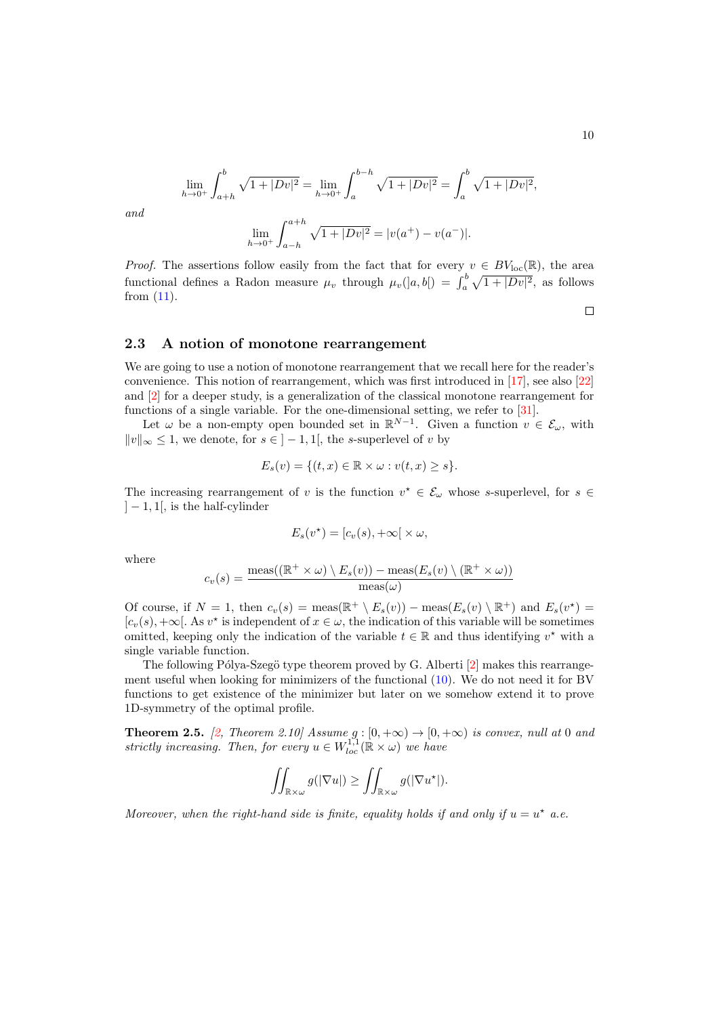$$
\lim_{h \to 0^+} \int_{a+h}^b \sqrt{1+|Dv|^2} = \lim_{h \to 0^+} \int_a^{b-h} \sqrt{1+|Dv|^2} = \int_a^b \sqrt{1+|Dv|^2},
$$
  

$$
\lim_{h \to 0^+} \int_{a-h}^{a+h} \sqrt{1+|Dv|^2} = |v(a^+) - v(a^-)|.
$$

and

*Proof.* The assertions follow easily from the fact that for every  $v \in BV_{loc}(\mathbb{R})$ , the area functional defines a Radon measure  $\mu_v$  through  $\mu_v(|a,b|) = \int_a^b \sqrt{1+|Dv|^2}$ , as follows from [\(11\)](#page-5-0).

#### 2.3 A notion of monotone rearrangement

We are going to use a notion of monotone rearrangement that we recall here for the reader's convenience. This notion of rearrangement, which was first introduced in [\[17\]](#page-25-9), see also [\[22\]](#page-26-10) and [\[2\]](#page-24-1) for a deeper study, is a generalization of the classical monotone rearrangement for functions of a single variable. For the one-dimensional setting, we refer to [\[31\]](#page-26-14).

Let  $\omega$  be a non-empty open bounded set in  $\mathbb{R}^{N-1}$ . Given a function  $v \in \mathcal{E}_{\omega}$ , with  $||v||_{\infty}$  ≤ 1, we denote, for  $s \in ]-1,1[$ , the s-superlevel of v by

$$
E_s(v) = \{(t, x) \in \mathbb{R} \times \omega : v(t, x) \ge s\}.
$$

The increasing rearrangement of v is the function  $v^* \in \mathcal{E}_{\omega}$  whose s-superlevel, for s  $\in$  $]-1,1[$ , is the half-cylinder

$$
E_s(v^*) = [c_v(s), +\infty[ \times \omega,
$$

where

$$
c_v(s) = \frac{\operatorname{meas}((\mathbb{R}^+ \times \omega) \setminus E_s(v)) - \operatorname{meas}(E_s(v) \setminus (\mathbb{R}^+ \times \omega))}{\operatorname{meas}(\omega)}
$$

Of course, if  $N = 1$ , then  $c_v(s) = \text{meas}(\mathbb{R}^+ \setminus E_s(v)) - \text{meas}(E_s(v) \setminus \mathbb{R}^+)$  and  $E_s(v^*) =$  $[c_v(s), +\infty[$ . As  $v^*$  is independent of  $x \in \omega$ , the indication of this variable will be sometimes omitted, keeping only the indication of the variable  $t \in \mathbb{R}$  and thus identifying  $v^*$  with a single variable function.

The following Pólya-Szegö type theorem proved by G. Alberti  $[2]$  makes this rearrangement useful when looking for minimizers of the functional [\(10\)](#page-3-4). We do not need it for BV functions to get existence of the minimizer but later on we somehow extend it to prove 1D-symmetry of the optimal profile.

<span id="page-9-0"></span>**Theorem 2.5.** [\[2,](#page-24-1) Theorem 2.10] Assume  $g : [0, +\infty) \rightarrow [0, +\infty)$  is convex, null at 0 and strictly increasing. Then, for every  $u \in W^{1,1}_{loc}(\mathbb{R} \times \omega)$  we have

$$
\iint_{\mathbb{R}\times\omega} g(|\nabla u|) \ge \iint_{\mathbb{R}\times\omega} g(|\nabla u^\star|).
$$

Moreover, when the right-hand side is finite, equality holds if and only if  $u = u^*$  a.e.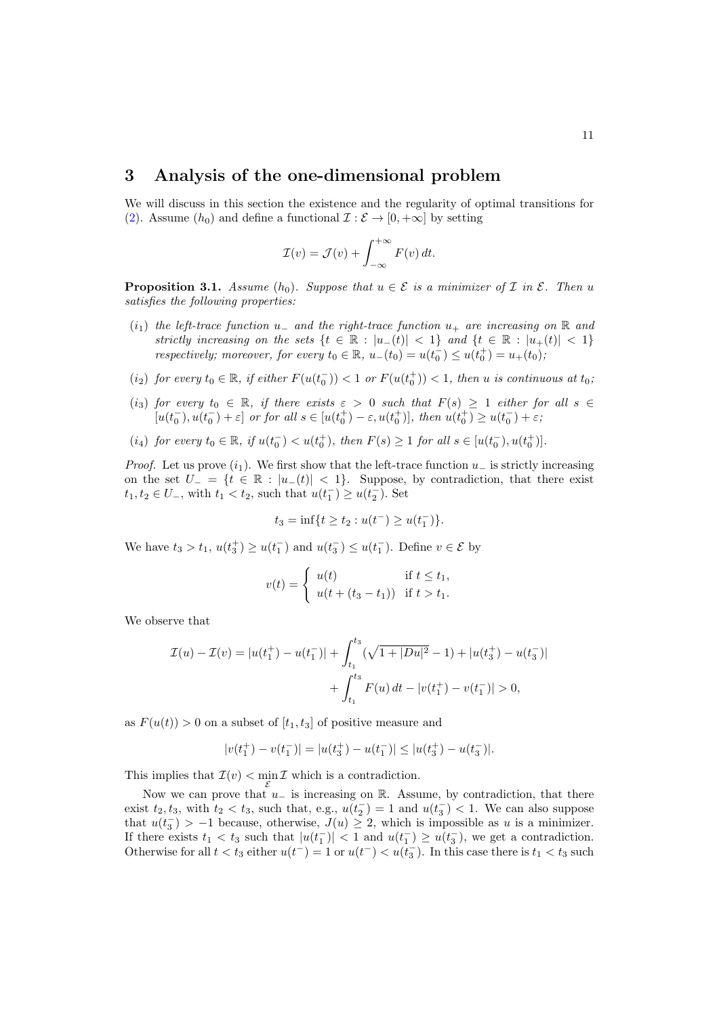## 3 Analysis of the one-dimensional problem

We will discuss in this section the existence and the regularity of optimal transitions for [\(2\)](#page-1-0). Assume  $(h_0)$  and define a functional  $\mathcal{I}: \mathcal{E} \to [0, +\infty]$  by setting

$$
\mathcal{I}(v) = \mathcal{J}(v) + \int_{-\infty}^{+\infty} F(v) dt.
$$

<span id="page-10-0"></span>**Proposition 3.1.** Assume  $(h_0)$ . Suppose that  $u \in \mathcal{E}$  is a minimizer of  $\mathcal{I}$  in  $\mathcal{E}$ . Then u satisfies the following properties:

- $(i_1)$  the left-trace function u<sub>-</sub> and the right-trace function  $u_+$  are increasing on R and strictly increasing on the sets  $\{t \in \mathbb{R} : |u_{-}(t)| < 1\}$  and  $\{t \in \mathbb{R} : |u_{+}(t)| < 1\}$ respectively; moreover, for every  $t_0 \in \mathbb{R}$ ,  $u_-(t_0) = u(t_0^-) \le u(t_0^+) = u_+(t_0)$ ;
- (i<sub>2</sub>) for every  $t_0 \in \mathbb{R}$ , if either  $F(u(t_0^-)) < 1$  or  $F(u(t_0^+)) < 1$ , then u is continuous at  $t_0$ ,
- (i<sub>3</sub>) for every  $t_0 \in \mathbb{R}$ , if there exists  $\varepsilon > 0$  such that  $F(s) \geq 1$  either for all  $s \in$  $[u(t_0^-), u(t_0^-) + \varepsilon]$  or for all  $s \in [u(t_0^+) - \varepsilon, u(t_0^+)]$ , then  $u(t_0^+) \ge u(t_0^-) + \varepsilon$ ;
- (i<sub>4</sub>) for every  $t_0 \in \mathbb{R}$ , if  $u(t_0^-) < u(t_0^+)$ , then  $F(s) \ge 1$  for all  $s \in [u(t_0^-), u(t_0^+)]$ .

*Proof.* Let us prove  $(i_1)$ . We first show that the left-trace function  $u_-\$  is strictly increasing on the set  $U_-=\{t \in \mathbb{R} : |u_-(t)| < 1\}$ . Suppose, by contradiction, that there exist  $t_1, t_2 \in U_-,$  with  $t_1 < t_2$ , such that  $u(t_1^-) \ge u(t_2^-)$ . Set

$$
t_3 = \inf\{t \ge t_2 : u(t^-) \ge u(t_1^-)\}.
$$

We have  $t_3 > t_1$ ,  $u(t_3^+) \ge u(t_1^-)$  and  $u(t_3^-) \le u(t_1^-)$ . Define  $v \in \mathcal{E}$  by

$$
v(t) = \begin{cases} u(t) & \text{if } t \leq t_1, \\ u(t + (t_3 - t_1)) & \text{if } t > t_1. \end{cases}
$$

We observe that

$$
\mathcal{I}(u) - \mathcal{I}(v) = |u(t_1^+) - u(t_1^-)| + \int_{t_1}^{t_3} (\sqrt{1+|Du|^2} - 1) + |u(t_3^+) - u(t_3^-)|
$$
  
+ 
$$
\int_{t_1}^{t_3} F(u) dt - |v(t_1^+) - v(t_1^-)| > 0,
$$

as  $F(u(t)) > 0$  on a subset of  $[t_1, t_3]$  of positive measure and

$$
|v(t_1^+) - v(t_1^-)| = |u(t_3^+) - u(t_1^-)| \le |u(t_3^+) - u(t_3^-)|.
$$

This implies that  $\mathcal{I}(v) < \min_{\mathcal{E}} \mathcal{I}$  which is a contradiction.

Now we can prove that  $u_$  is increasing on R. Assume, by contradiction, that there exist  $t_2, t_3$ , with  $t_2 < t_3$ , such that, e.g.,  $u(t_2^-) = 1$  and  $u(t_3^-) < 1$ . We can also suppose that  $u(t_3^-) > -1$  because, otherwise,  $J(u) \geq 2$ , which is impossible as u is a minimizer. If there exists  $t_1 < t_3$  such that  $|u(t_1^-)| < 1$  and  $u(t_1^-) \ge u(t_3^-)$ , we get a contradiction. Otherwise for all  $t < t_3$  either  $u(t^-) = 1$  or  $u(t^-) < u(t_3^-)$ . In this case there is  $t_1 < t_3$  such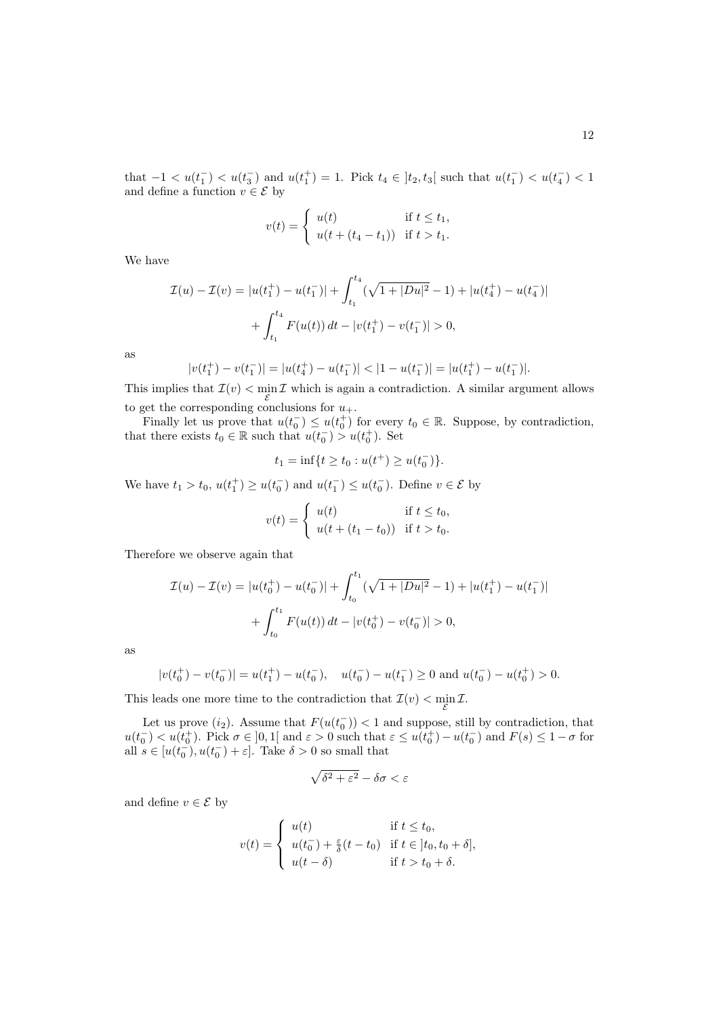that  $-1 < u(t_1^-) < u(t_3^-)$  and  $u(t_1^+) = 1$ . Pick  $t_4 \in [t_2, t_3]$  such that  $u(t_1^-) < u(t_4^-) < 1$ and define a function  $v \in \mathcal{E}$  by

$$
v(t) = \begin{cases} u(t) & \text{if } t \leq t_1, \\ u(t + (t_4 - t_1)) & \text{if } t > t_1. \end{cases}
$$

We have

$$
\mathcal{I}(u) - \mathcal{I}(v) = |u(t_1^+) - u(t_1^-)| + \int_{t_1}^{t_4} (\sqrt{1 + |Du|^2} - 1) + |u(t_4^+) - u(t_4^-)|
$$
  
+ 
$$
\int_{t_1}^{t_4} F(u(t)) dt - |v(t_1^+) - v(t_1^-)| > 0,
$$

as

$$
|v(t_1^+) - v(t_1^-)| = |u(t_4^+) - u(t_1^-)| < |1 - u(t_1^-)| = |u(t_1^+) - u(t_1^-)|.
$$

This implies that  $\mathcal{I}(v) < \min_{\mathcal{E}} \mathcal{I}$  which is again a contradiction. A similar argument allows to get the corresponding conclusions for  $u_+$ .

Finally let us prove that  $u(t_0^-) \leq u(t_0^+)$  for every  $t_0 \in \mathbb{R}$ . Suppose, by contradiction, that there exists  $t_0 \in \mathbb{R}$  such that  $u(t_0^-) > u(t_0^+)$ . Set

$$
t_1 = \inf\{t \ge t_0 : u(t^+) \ge u(t_0^-)\}.
$$

We have  $t_1 > t_0$ ,  $u(t_1^+) \ge u(t_0^-)$  and  $u(t_1^-) \le u(t_0^-)$ . Define  $v \in \mathcal{E}$  by

$$
v(t) = \begin{cases} u(t) & \text{if } t \leq t_0, \\ u(t + (t_1 - t_0)) & \text{if } t > t_0. \end{cases}
$$

Therefore we observe again that

$$
\mathcal{I}(u) - \mathcal{I}(v) = |u(t_0^+) - u(t_0^-)| + \int_{t_0}^{t_1} (\sqrt{1 + |Du|^2} - 1) + |u(t_1^+) - u(t_1^-)|
$$
  
+ 
$$
\int_{t_0}^{t_1} F(u(t)) dt - |v(t_0^+) - v(t_0^-)| > 0,
$$

as

$$
|v(t_0^+) - v(t_0^-)| = u(t_1^+) - u(t_0^-), \quad u(t_0^-) - u(t_1^-) \ge 0 \text{ and } u(t_0^-) - u(t_0^+) > 0.
$$

This leads one more time to the contradiction that  $\mathcal{I}(v) < \min_{\mathcal{E}} \mathcal{I}$ .

Let us prove  $(i_2)$ . Assume that  $F(u(t_0^-)) < 1$  and suppose, still by contradiction, that  $u(t_0^-) < u(t_0^+)$ . Pick  $\sigma \in ]0,1[$  and  $\varepsilon > 0$  such that  $\varepsilon \leq u(t_0^+) - u(t_0^-)$  and  $F(s) \leq 1 - \sigma$  for all  $s \in [u(t_0^-), u(t_0^-) + \varepsilon]$ . Take  $\delta > 0$  so small that

$$
\sqrt{\delta^2 + \varepsilon^2} - \delta \sigma < \varepsilon
$$

and define  $v \in \mathcal{E}$  by

$$
v(t) = \begin{cases} u(t) & \text{if } t \leq t_0, \\ u(t_0^-) + \frac{\varepsilon}{\delta}(t - t_0) & \text{if } t \in [t_0, t_0 + \delta], \\ u(t - \delta) & \text{if } t > t_0 + \delta. \end{cases}
$$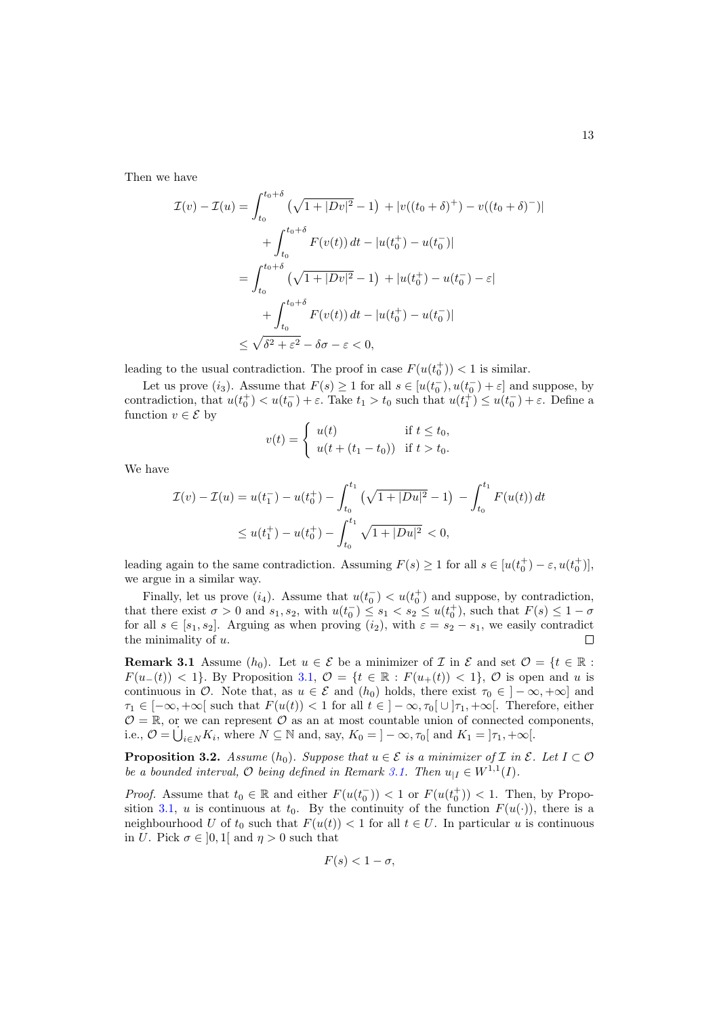Then we have

$$
\mathcal{I}(v) - \mathcal{I}(u) = \int_{t_0}^{t_0 + \delta} \left( \sqrt{1 + |Dv|^2} - 1 \right) + |v((t_0 + \delta)^+) - v((t_0 + \delta)^-)|
$$
  
+ 
$$
\int_{t_0}^{t_0 + \delta} F(v(t)) dt - |u(t_0^+) - u(t_0^-)|
$$
  
= 
$$
\int_{t_0}^{t_0 + \delta} \left( \sqrt{1 + |Dv|^2} - 1 \right) + |u(t_0^+) - u(t_0^-) - \varepsilon|
$$
  
+ 
$$
\int_{t_0}^{t_0 + \delta} F(v(t)) dt - |u(t_0^+) - u(t_0^-)|
$$
  
\$\leq \sqrt{\delta^2 + \varepsilon^2} - \delta\sigma - \varepsilon < 0\$,

leading to the usual contradiction. The proof in case  $F(u(t_0^+)) < 1$  is similar.

Let us prove  $(i_3)$ . Assume that  $F(s) \ge 1$  for all  $s \in [u(t_0^-), u(t_0^-) + \varepsilon]$  and suppose, by contradiction, that  $u(t_0^+) < u(t_0^-) + \varepsilon$ . Take  $t_1 > t_0$  such that  $u(t_1^+) \le u(t_0^-) + \varepsilon$ . Define a function  $v \in \mathcal{E}$  by

$$
v(t) = \begin{cases} u(t) & \text{if } t \le t_0, \\ u(t + (t_1 - t_0)) & \text{if } t > t_0. \end{cases}
$$

We have

$$
\mathcal{I}(v) - \mathcal{I}(u) = u(t_1^-) - u(t_0^+) - \int_{t_0}^{t_1} \left(\sqrt{1 + |Du|^2} - 1\right) - \int_{t_0}^{t_1} F(u(t)) dt
$$
  

$$
\leq u(t_1^+) - u(t_0^+) - \int_{t_0}^{t_1} \sqrt{1 + |Du|^2} < 0,
$$

leading again to the same contradiction. Assuming  $F(s) \ge 1$  for all  $s \in [u(t_0^+) - \varepsilon, u(t_0^+)]$ , we argue in a similar way.

Finally, let us prove  $(i_4)$ . Assume that  $u(t_0^-) < u(t_0^+)$  and suppose, by contradiction, that there exist  $\sigma > 0$  and  $s_1, s_2$ , with  $u(t_0^-) \leq s_1 < s_2 \leq u(t_0^+)$ , such that  $F(s) \leq 1 - \sigma$ for all  $s \in [s_1, s_2]$ . Arguing as when proving  $(i_2)$ , with  $\varepsilon = s_2 - s_1$ , we easily contradict the minimality of  $u$ .

<span id="page-12-0"></span>**Remark 3.1** Assume  $(h_0)$ . Let  $u \in \mathcal{E}$  be a minimizer of  $\mathcal{I}$  in  $\mathcal{E}$  and set  $\mathcal{O} = \{t \in \mathbb{R} :$  $F(u_{-}(t)) < 1$ . By Proposition [3.1,](#page-10-0)  $\mathcal{O} = \{t \in \mathbb{R} : F(u_{+}(t)) < 1\}$ ,  $\mathcal{O}$  is open and u is continuous in  $\mathcal{O}$ . Note that, as  $u \in \mathcal{E}$  and  $(h_0)$  holds, there exist  $\tau_0 \in ]-\infty, +\infty]$  and  $\tau_1 \in [-\infty, +\infty]$  such that  $F(u(t)) < 1$  for all  $t \in ]-\infty, \tau_0[ \cup ]\tau_1, +\infty[$ . Therefore, either  $\mathcal{O} = \mathbb{R}$ , or we can represent  $\mathcal{O}$  as an at most countable union of connected components, i.e.,  $\mathcal{O} = \dot{\bigcup}_{i \in N} K_i$ , where  $N \subseteq \mathbb{N}$  and, say,  $K_0 = ]-\infty, \tau_0[$  and  $K_1 = ]\tau_1, +\infty[$ .

<span id="page-12-1"></span>**Proposition 3.2.** Assume  $(h_0)$ . Suppose that  $u \in \mathcal{E}$  is a minimizer of  $\mathcal{I}$  in  $\mathcal{E}$ . Let  $I \subset \mathcal{O}$ be a bounded interval,  $\mathcal O$  being defined in Remark [3.1.](#page-12-0) Then  $u_{|I} \in W^{1,1}(I)$ .

*Proof.* Assume that  $t_0 \in \mathbb{R}$  and either  $F(u(t_0^-)) < 1$  or  $F(u(t_0^+)) < 1$ . Then, by Propo-sition [3.1,](#page-10-0) u is continuous at  $t_0$ . By the continuity of the function  $F(u(\cdot))$ , there is a neighbourhood U of  $t_0$  such that  $F(u(t)) < 1$  for all  $t \in U$ . In particular u is continuous in U. Pick  $\sigma \in [0,1]$  and  $\eta > 0$  such that

$$
F(s) < 1 - \sigma,
$$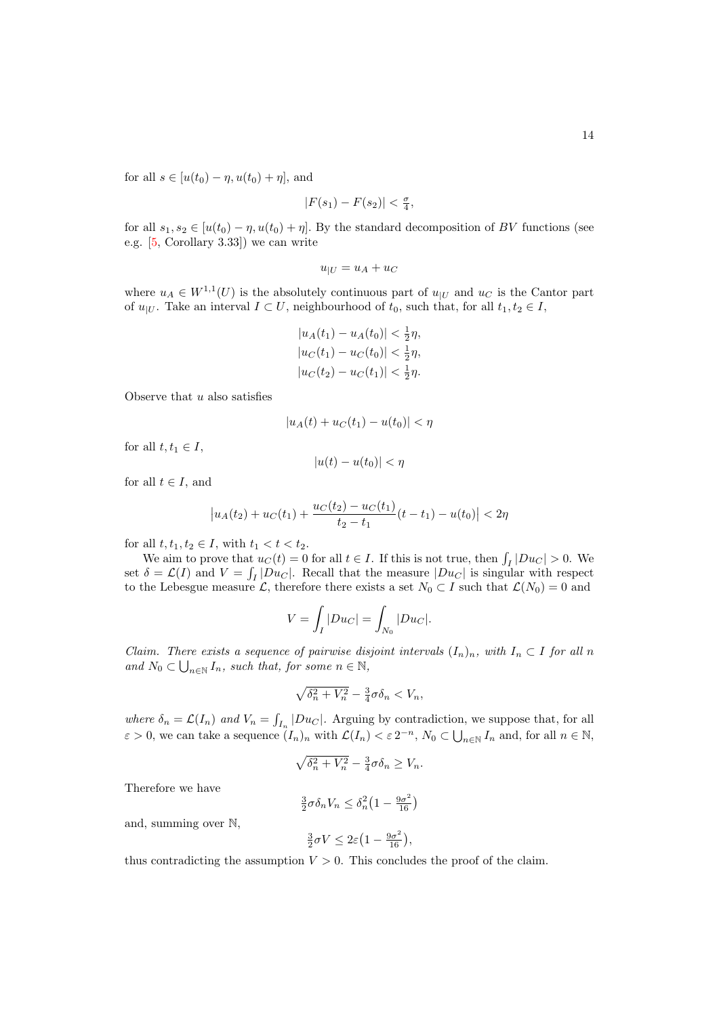for all  $s \in [u(t_0) - \eta, u(t_0) + \eta]$ , and

$$
|F(s_1) - F(s_2)| < \frac{\sigma}{4},
$$

for all  $s_1, s_2 \in [u(t_0) - \eta, u(t_0) + \eta]$ . By the standard decomposition of BV functions (see e.g. [\[5,](#page-25-15) Corollary 3.33]) we can write

$$
u_{|U} = u_A + u_C
$$

where  $u_A \in W^{1,1}(U)$  is the absolutely continuous part of  $u_{|U}$  and  $u_C$  is the Cantor part of  $u_{|U}$ . Take an interval  $I \subset U$ , neighbourhood of  $t_0$ , such that, for all  $t_1, t_2 \in I$ ,

$$
|u_A(t_1) - u_A(t_0)| < \frac{1}{2}\eta,
$$
\n
$$
|u_C(t_1) - u_C(t_0)| < \frac{1}{2}\eta,
$$
\n
$$
|u_C(t_2) - u_C(t_1)| < \frac{1}{2}\eta.
$$

Observe that  $u$  also satisfies

$$
|u_A(t) + u_C(t_1) - u(t_0)| < \eta
$$

for all  $t, t_1 \in I$ ,

$$
|u(t) - u(t_0)| < \eta
$$

for all  $t \in I$ , and

$$
\left| u_A(t_2) + u_C(t_1) + \frac{u_C(t_2) - u_C(t_1)}{t_2 - t_1} (t - t_1) - u(t_0) \right| < 2\eta
$$

for all  $t, t_1, t_2 \in I$ , with  $t_1 < t < t_2$ .

We aim to prove that  $u<sub>C</sub>(t) = 0$  for all  $t \in I$ . If this is not true, then  $\int_I |Du<sub>C</sub>| > 0$ . We set  $\delta = \mathcal{L}(I)$  and  $V = \int_I |Du_C|$ . Recall that the measure  $|Du_C|$  is singular with respect to the Lebesgue measure L, therefore there exists a set  $N_0 \subset I$  such that  $\mathcal{L}(N_0) = 0$  and

$$
V = \int_I |Du_C| = \int_{N_0} |Du_C|.
$$

Claim. There exists a sequence of pairwise disjoint intervals  $(I_n)_n$ , with  $I_n \subset I$  for all n and  $N_0 \subset \bigcup_{n \in \mathbb{N}} I_n$ , such that, for some  $n \in \mathbb{N}$ ,

$$
\sqrt{\delta_n^2+V_n^2}-\tfrac{3}{4}\sigma\delta_n
$$

where  $\delta_n = \mathcal{L}(I_n)$  and  $V_n = \int_{I_n} |Du_C|$ . Arguing by contradiction, we suppose that, for all  $\varepsilon > 0$ , we can take a sequence  $(I_n)_n$  with  $\mathcal{L}(I_n) < \varepsilon 2^{-n}$ ,  $N_0 \subset \bigcup_{n \in \mathbb{N}} I_n$  and, for all  $n \in \mathbb{N}$ ,

$$
\sqrt{\delta_n^2 + V_n^2} - \frac{3}{4}\sigma \delta_n \ge V_n.
$$

Therefore we have

$$
\frac{3}{2}\sigma \delta_n V_n \le \delta_n^2 \left(1 - \frac{9\sigma^2}{16}\right)
$$

and, summing over N,

$$
\tfrac{3}{2}\sigma V \leq 2\varepsilon\big(1-\tfrac{9\sigma^2}{16}\big),
$$

thus contradicting the assumption  $V > 0$ . This concludes the proof of the claim.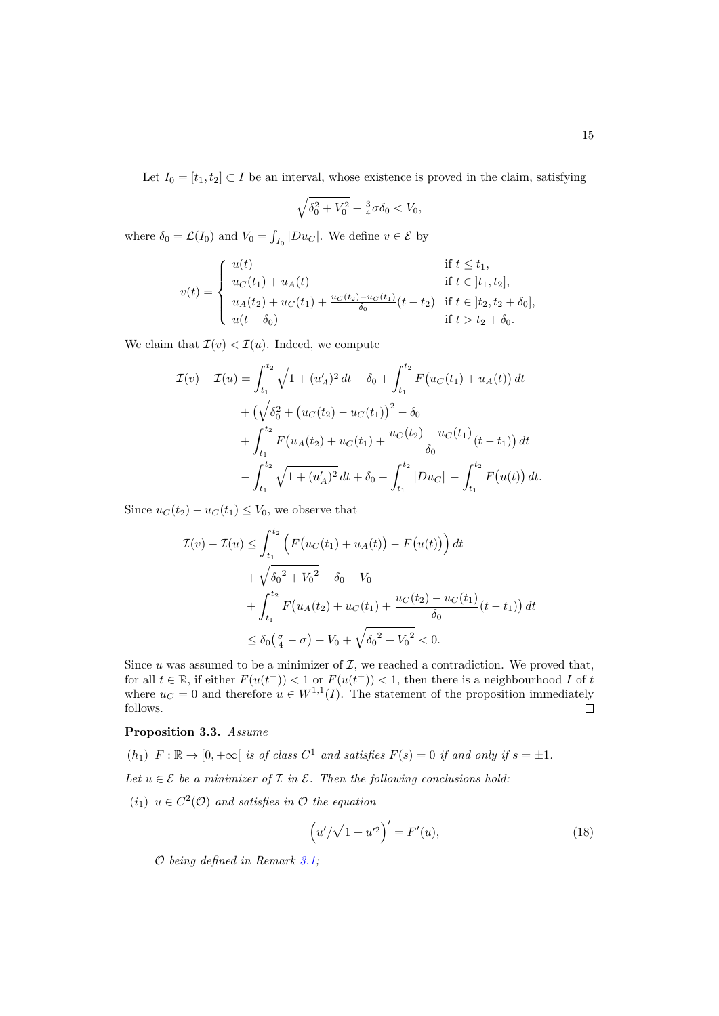Let  $I_0 = [t_1, t_2] \subset I$  be an interval, whose existence is proved in the claim, satisfying

$$
\sqrt{\delta_0^2 + V_0^2} - \frac{3}{4}\sigma \delta_0 < V_0,
$$

where  $\delta_0 = \mathcal{L}(I_0)$  and  $V_0 = \int_{I_0} |Du_C|$ . We define  $v \in \mathcal{E}$  by

$$
v(t) = \begin{cases} u(t) & \text{if } t \le t_1, \\ u_C(t_1) + u_A(t) & \text{if } t \in [t_1, t_2], \\ u_A(t_2) + u_C(t_1) + \frac{u_C(t_2) - u_C(t_1)}{\delta_0}(t - t_2) & \text{if } t \in [t_2, t_2 + \delta_0], \\ u(t - \delta_0) & \text{if } t > t_2 + \delta_0. \end{cases}
$$

We claim that  $\mathcal{I}(v) < \mathcal{I}(u)$ . Indeed, we compute

$$
\mathcal{I}(v) - \mathcal{I}(u) = \int_{t_1}^{t_2} \sqrt{1 + (u'_A)^2} dt - \delta_0 + \int_{t_1}^{t_2} F(u_C(t_1) + u_A(t)) dt
$$
  
+  $(\sqrt{\delta_0^2 + (u_C(t_2) - u_C(t_1))^2} - \delta_0$   
+  $\int_{t_1}^{t_2} F(u_A(t_2) + u_C(t_1) + \frac{u_C(t_2) - u_C(t_1)}{\delta_0}(t - t_1)) dt$   
-  $\int_{t_1}^{t_2} \sqrt{1 + (u'_A)^2} dt + \delta_0 - \int_{t_1}^{t_2} |Du_C| - \int_{t_1}^{t_2} F(u(t)) dt.$ 

Since  $u_C(t_2) - u_C(t_1) \leq V_0$ , we observe that

$$
\mathcal{I}(v) - \mathcal{I}(u) \le \int_{t_1}^{t_2} \left( F(u_C(t_1) + u_A(t)) - F(u(t)) \right) dt
$$
  
+  $\sqrt{\delta_0^2 + V_0^2} - \delta_0 - V_0$   
+  $\int_{t_1}^{t_2} F(u_A(t_2) + u_C(t_1) + \frac{u_C(t_2) - u_C(t_1)}{\delta_0} (t - t_1)) dt$   
 $\le \delta_0 \left( \frac{\sigma}{4} - \sigma \right) - V_0 + \sqrt{\delta_0^2 + V_0^2} < 0.$ 

Since  $u$  was assumed to be a minimizer of  $\mathcal{I}$ , we reached a contradiction. We proved that, for all  $t \in \mathbb{R}$ , if either  $F(u(t^{-})) < 1$  or  $F(u(t^{+})) < 1$ , then there is a neighbourhood I of t where  $u_C = 0$  and therefore  $u \in W^{1,1}(I)$ . The statement of the proposition immediately follows.  $\Box$ 

### <span id="page-14-0"></span>Proposition 3.3. Assume

 $(h_1)$   $F: \mathbb{R} \to [0, +\infty[$  is of class  $C^1$  and satisfies  $F(s) = 0$  if and only if  $s = \pm 1$ . Let  $u \in \mathcal{E}$  be a minimizer of  $\mathcal I$  in  $\mathcal E$ . Then the following conclusions hold:  $(i_1)$   $u \in C^2(\mathcal{O})$  and satisfies in  $\mathcal O$  the equation

$$
(u'/\sqrt{1+u'^2})' = F'(u),
$$
\n(18)

O being defined in Remark [3.1;](#page-12-0)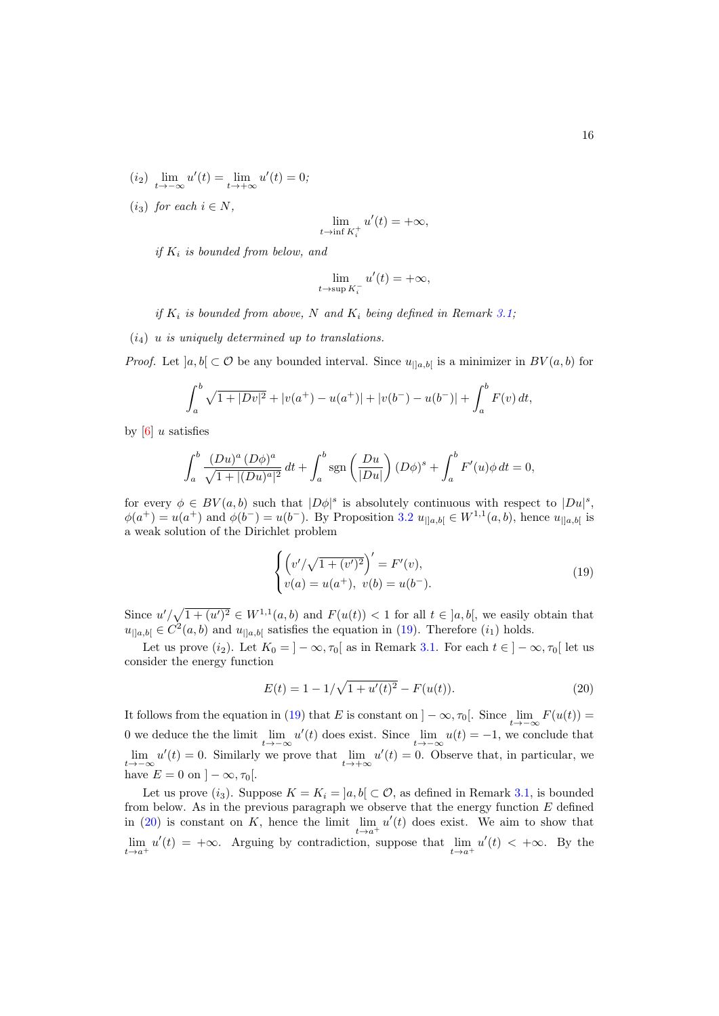- (*i*<sub>2</sub>)  $\lim_{t \to -\infty} u'(t) = \lim_{t \to +\infty} u'(t) = 0;$
- (i<sub>3</sub>) for each  $i \in N$ ,

$$
\lim_{t \to \inf K_i^+} u'(t) = +\infty,
$$

if  $K_i$  is bounded from below, and

$$
\lim_{t \to \sup K_i^-} u'(t) = +\infty,
$$

if  $K_i$  is bounded from above, N and  $K_i$  being defined in Remark [3.1;](#page-12-0)

 $(i_4)$  u is uniquely determined up to translations.

*Proof.* Let  $[a, b] \subset \mathcal{O}$  be any bounded interval. Since  $u_{\mid [a, b]}$  is a minimizer in  $BV(a, b)$  for

$$
\int_a^b \sqrt{1+|Dv|^2} + |v(a^+) - u(a^+)| + |v(b^-) - u(b^-)| + \int_a^b F(v) dt,
$$

by  $[6]$  u satisfies

$$
\int_{a}^{b} \frac{(Du)^{a} (D\phi)^{a}}{\sqrt{1 + |(Du)^{a}|^{2}}} dt + \int_{a}^{b} \text{sgn}\left(\frac{Du}{|Du|}\right) (D\phi)^{s} + \int_{a}^{b} F'(u)\phi dt = 0,
$$

for every  $\phi \in BV(a, b)$  such that  $|D\phi|^s$  is absolutely continuous with respect to  $|Du|^s$ ,  $\phi(a^+) = u(a^+)$  and  $\phi(b^-) = u(b^-)$ . By Proposition [3.2](#page-12-1)  $u_{\vert [a,b]} \in W^{1,1}(a,b)$ , hence  $u_{\vert [a,b]}$  is a weak solution of the Dirichlet problem

<span id="page-15-0"></span>
$$
\begin{cases} \left(v'/\sqrt{1+(v')^2}\right)' = F'(v), \\ v(a) = u(a^+), \ v(b) = u(b^-). \end{cases}
$$
\n(19)

Since  $u'/\sqrt{1+(u')^2} \in W^{1,1}(a,b)$  and  $F(u(t)) < 1$  for all  $t \in [a,b]$ , we easily obtain that  $u_{\parallel a,b\parallel} \in C^2(a,b)$  and  $u_{\parallel a,b\parallel}$  satisfies the equation in [\(19\)](#page-15-0). Therefore  $(i_1)$  holds.

Let us prove  $(i_2)$ . Let  $K_0 = ]-\infty, \tau_0[$  as in Remark [3.1.](#page-12-0) For each  $t \in ]-\infty, \tau_0[$  let us consider the energy function

<span id="page-15-1"></span>
$$
E(t) = 1 - 1/\sqrt{1 + u'(t)^2} - F(u(t)).
$$
\n(20)

It follows from the equation in [\(19\)](#page-15-0) that E is constant on  $]-\infty, \tau_0[$ . Since  $\lim_{t\to-\infty} F(u(t))=$ 0 we deduce the the limit  $\lim_{t\to -\infty} u'(t)$  does exist. Since  $\lim_{t\to -\infty} u(t) = -1$ , we conclude that  $\lim_{t\to-\infty}u'(t)=0$ . Similarly we prove that  $\lim_{t\to+\infty}u'(t)=0$ . Observe that, in particular, we have  $E = 0$  on  $\vert -\infty, \tau_0 \vert$ .

Let us prove  $(i_3)$ . Suppose  $K = K_i = [a, b] \subset \mathcal{O}$ , as defined in Remark [3.1,](#page-12-0) is bounded from below. As in the previous paragraph we observe that the energy function  $E$  defined in [\(20\)](#page-15-1) is constant on K, hence the limit  $\lim_{t \to a^+} u'(t)$  does exist. We aim to show that  $\lim_{t\to a^+} u'(t) = +\infty$ . Arguing by contradiction, suppose that  $\lim_{t\to a^+} u'(t) < +\infty$ . By the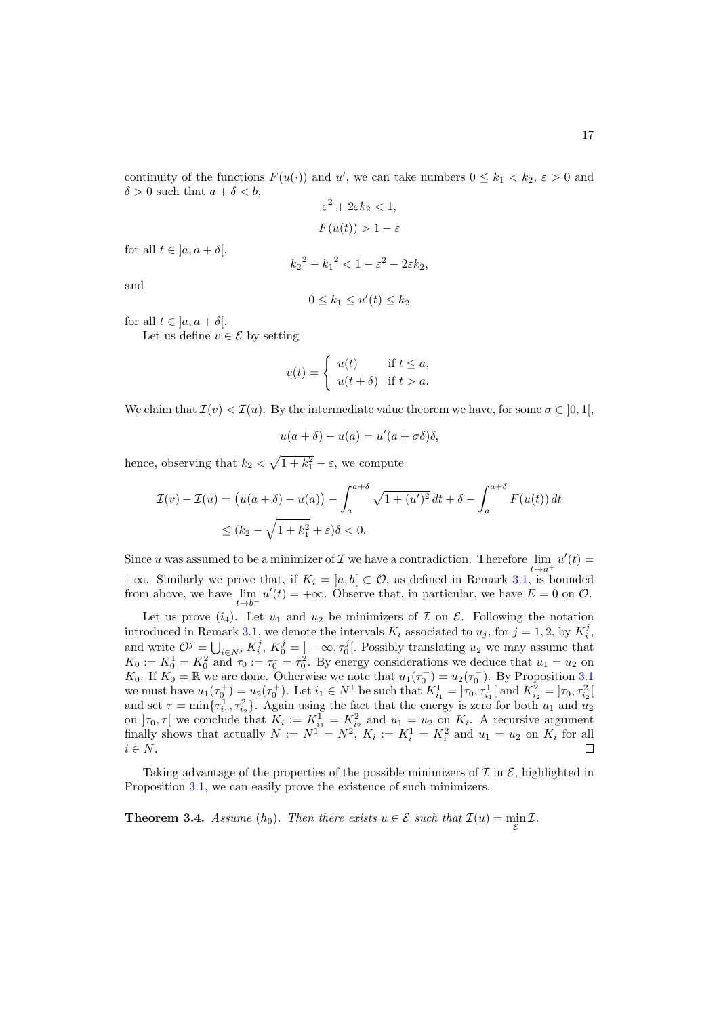continuity of the functions  $F(u(\cdot))$  and u', we can take numbers  $0 \leq k_1 < k_2$ ,  $\varepsilon > 0$  and  $\delta > 0$  such that  $a + \delta < b$ ,

$$
\varepsilon^2 + 2\varepsilon k_2 < 1,
$$
\n
$$
F(u(t)) > 1 - \varepsilon
$$

for all  $t \in [a, a + \delta],$ 

$$
{k_2}^2 - {k_1}^2 < 1 - \varepsilon^2 - 2\varepsilon k_2,
$$

and

$$
0 \leq k_1 \leq u'(t) \leq k_2
$$

for all  $t \in ]a, a + \delta[$ .

Let us define  $v \in \mathcal{E}$  by setting

$$
v(t) = \begin{cases} u(t) & \text{if } t \le a, \\ u(t+\delta) & \text{if } t > a. \end{cases}
$$

We claim that  $\mathcal{I}(v) < \mathcal{I}(u)$ . By the intermediate value theorem we have, for some  $\sigma \in [0,1]$ ,

$$
u(a+\delta) - u(a) = u'(a+\sigma\delta)\delta,
$$

hence, observing that  $k_2 < \sqrt{1 + k_1^2} - \varepsilon$ , we compute

$$
\mathcal{I}(v) - \mathcal{I}(u) = \left(u(a+\delta) - u(a)\right) - \int_{a}^{a+\delta} \sqrt{1 + (u')^2} dt + \delta - \int_{a}^{a+\delta} F(u(t)) dt
$$
  

$$
\le (k_2 - \sqrt{1 + k_1^2} + \varepsilon)\delta < 0.
$$

Since u was assumed to be a minimizer of  $\mathcal I$  we have a contradiction. Therefore  $\lim_{t\to a^+} u'(t) =$ +∞. Similarly we prove that, if  $K_i = ]a, b[ \subset \mathcal{O}$ , as defined in Remark [3.1,](#page-12-0) is bounded from above, we have  $\lim_{t\to b^-} u'(t) = +\infty$ . Observe that, in particular, we have  $E = 0$  on  $\mathcal{O}$ .

Let us prove  $(i_4)$ . Let  $u_1$  and  $u_2$  be minimizers of  $\mathcal I$  on  $\mathcal E$ . Following the notation introduced in Remark [3.1,](#page-12-0) we denote the intervals  $K_i$  associated to  $u_j$ , for  $j = 1, 2$ , by  $K_i^j$ , introduced in Remark 3.1, we denote the intervals  $K_i$  associated to  $u_j$ , for  $j = 1, 2, 6$   $K_i$ , and write  $\mathcal{O}^j = \bigcup_{i \in N^j} K_i^j$ ,  $K_0^j = \big] - \infty$ ,  $\tau_0^j$ . Possibly translating  $u_2$  we may assume that  $K_0 := K_0^1 = K_0^2$  and  $\tau_0 := \tau_0^1 = \tau_0^2$ . By energy considerations we deduce that  $u_1 = u_2$  on K<sub>0</sub>. If  $K_0 = \mathbb{R}$  we are done. Otherwise we note that  $u_1(\tau_0^-) = u_2(\tau_0^-)$ . By Proposition [3.1](#page-10-0) we must have  $u_1(\tau_0^+) = u_2(\tau_0^+)$ . Let  $i_1 \in N^1$  be such that  $K_{i_1}^1 = \overline{\smash{\big)}\tau_0}, \tau_{i_1}^1$  and  $K_{i_2}^2 = \overline{\smash{\big)}\tau_0}, \tau_{i_2}^2$ and set  $\tau = \min\{\tau_{i_1}^1, \tau_{i_2}^2\}$ . Again using the fact that the energy is zero for both  $u_1$  and  $u_2$ on  $]\tau_0, \tau[$  we conclude that  $K_i := K_{i_1}^1 = K_{i_2}^2$  and  $u_1 = u_2$  on  $K_i$ . A recursive argument finally shows that actually  $N := N^1 = N^2$ ,  $K_i := K_i^1 = K_i^2$  and  $u_1 = u_2$  on  $K_i$  for all  $i \in N$ .

Taking advantage of the properties of the possible minimizers of  $\mathcal I$  in  $\mathcal E$ , highlighted in Proposition [3.1,](#page-10-0) we can easily prove the existence of such minimizers.

**Theorem 3.4.** Assume  $(h_0)$ . Then there exists  $u \in \mathcal{E}$  such that  $\mathcal{I}(u) = \min_{\mathcal{E}} \mathcal{I}$ .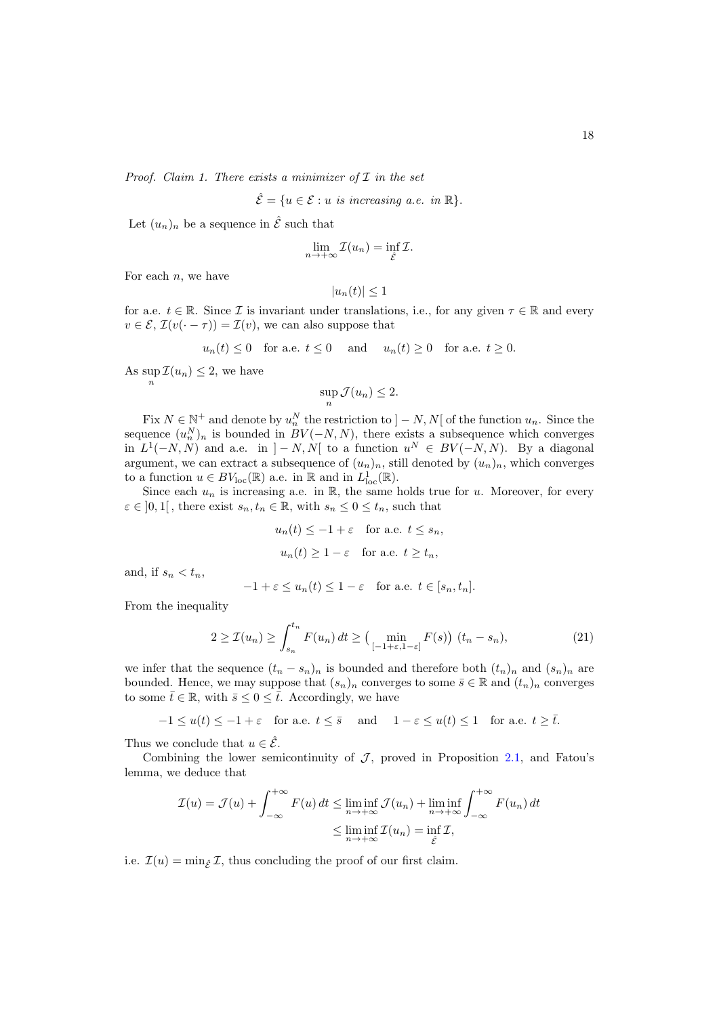Proof. Claim 1. There exists a minimizer of  $I$  in the set

$$
\hat{\mathcal{E}} = \{ u \in \mathcal{E} : u \text{ is increasing a.e. in } \mathbb{R} \}.
$$

Let  $(u_n)_n$  be a sequence in  $\hat{\mathcal{E}}$  such that

$$
\lim_{n \to +\infty} \mathcal{I}(u_n) = \inf_{\hat{\mathcal{E}}} \mathcal{I}.
$$

For each  $n$ , we have

$$
|u_n(t)| \le 1
$$

for a.e.  $t \in \mathbb{R}$ . Since *I* is invariant under translations, i.e., for any given  $\tau \in \mathbb{R}$  and every  $v \in \mathcal{E}, \mathcal{I}(v(\cdot - \tau)) = \mathcal{I}(v)$ , we can also suppose that

$$
u_n(t) \le 0
$$
 for a.e.  $t \le 0$  and  $u_n(t) \ge 0$  for a.e.  $t \ge 0$ .

As  $\sup_n \mathcal{I}(u_n) \leq 2$ , we have

$$
\sup_n \mathcal{J}(u_n) \le 2.
$$

Fix  $N \in \mathbb{N}^+$  and denote by  $u_n^N$  the restriction to  $]-N, N[$  of the function  $u_n$ . Since the sequence  $(u_n^N)_n$  is bounded in  $BV(-N, N)$ , there exists a subsequence which converges in  $L^1(-N, N)$  and a.e. in  $]-N, N[$  to a function  $u^N \in BV(-N, N)$ . By a diagonal argument, we can extract a subsequence of  $(u_n)_n$ , still denoted by  $(u_n)_n$ , which converges to a function  $u \in BV_{loc}(\mathbb{R})$  a.e. in  $\mathbb{R}$  and in  $L^1_{loc}(\mathbb{R})$ .

Since each  $u_n$  is increasing a.e. in  $\mathbb{R}$ , the same holds true for u. Moreover, for every  $\varepsilon \in ]0,1[$ , there exist  $s_n, t_n \in \mathbb{R}$ , with  $s_n \leq 0 \leq t_n$ , such that

$$
u_n(t) \le -1 + \varepsilon
$$
 for a.e.  $t \le s_n$ ,  
 $u_n(t) \ge 1 - \varepsilon$  for a.e.  $t \ge t_n$ ,

and, if  $s_n < t_n$ ,

$$
-1 + \varepsilon \le u_n(t) \le 1 - \varepsilon \quad \text{for a.e. } t \in [s_n, t_n].
$$

From the inequality

$$
2 \ge \mathcal{I}(u_n) \ge \int_{s_n}^{t_n} F(u_n) dt \ge \left(\min_{[-1+\varepsilon, 1-\varepsilon]} F(s)\right) (t_n - s_n),\tag{21}
$$

we infer that the sequence  $(t_n - s_n)_n$  is bounded and therefore both  $(t_n)_n$  and  $(s_n)_n$  are bounded. Hence, we may suppose that  $(s_n)_n$  converges to some  $\bar{s} \in \mathbb{R}$  and  $(t_n)_n$  converges to some  $\bar{t} \in \mathbb{R}$ , with  $\bar{s} \leq 0 \leq \bar{t}$ . Accordingly, we have

 $-1 \le u(t) \le -1 + \varepsilon$  for a.e.  $t \le \bar{s}$  and  $1 - \varepsilon \le u(t) \le 1$  for a.e.  $t \ge \bar{t}$ .

Thus we conclude that  $u \in \hat{\mathcal{E}}$ .

Combining the lower semicontinuity of  $J$ , proved in Proposition [2.1,](#page-6-2) and Fatou's lemma, we deduce that

$$
\mathcal{I}(u) = \mathcal{J}(u) + \int_{-\infty}^{+\infty} F(u) dt \le \liminf_{n \to +\infty} \mathcal{J}(u_n) + \liminf_{n \to +\infty} \int_{-\infty}^{+\infty} F(u_n) dt
$$
  

$$
\le \liminf_{n \to +\infty} \mathcal{I}(u_n) = \inf_{\hat{\mathcal{E}}} \mathcal{I},
$$

i.e.  $\mathcal{I}(u) = \min_{\hat{\mathcal{E}}} \mathcal{I}$ , thus concluding the proof of our first claim.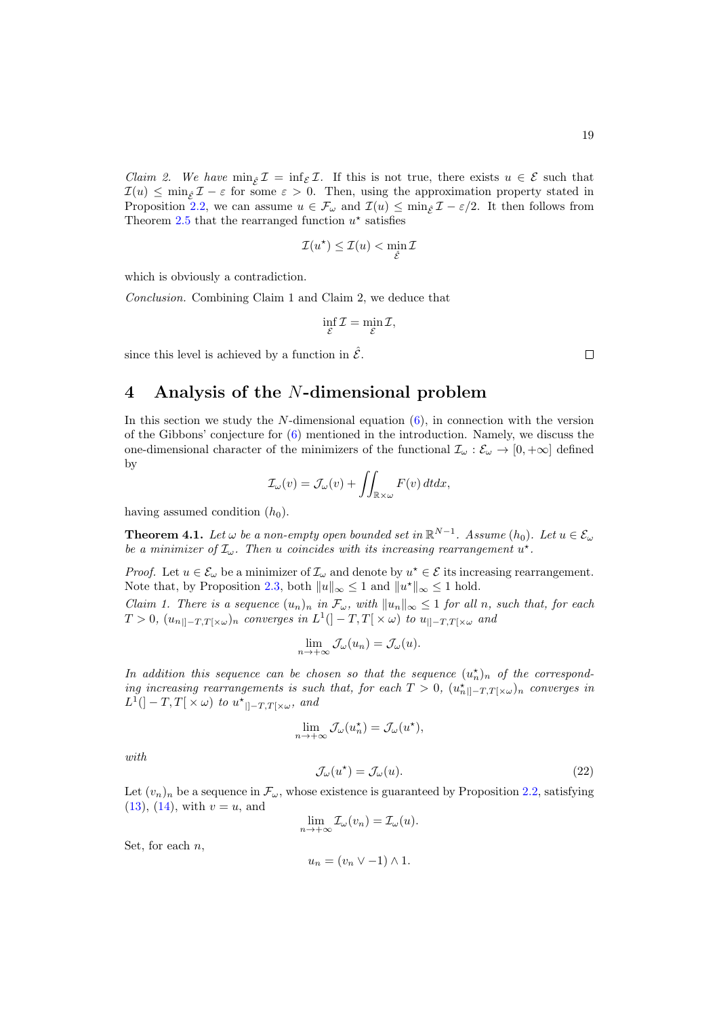*Claim 2.* We have  $\min_{\hat{\mathcal{E}}} \mathcal{I} = \inf_{\mathcal{E}} \mathcal{I}$ . If this is not true, there exists  $u \in \mathcal{E}$  such that  $\mathcal{I}(u) \leq \min_{\varepsilon} \mathcal{I} - \varepsilon$  for some  $\varepsilon > 0$ . Then, using the approximation property stated in Proposition [2.2,](#page-6-3) we can assume  $u \in \mathcal{F}_{\omega}$  and  $\mathcal{I}(u) \leq \min_{\varepsilon} \mathcal{I} - \varepsilon/2$ . It then follows from Theorem [2.5](#page-9-0) that the rearranged function  $u^*$  satisfies

$$
\mathcal{I}(u^\star) \le \mathcal{I}(u) < \min_{\hat{\mathcal{E}}} \mathcal{I}
$$

which is obviously a contradiction.

Conclusion. Combining Claim 1 and Claim 2, we deduce that

$$
\inf_{\mathcal{E}} \mathcal{I} = \min_{\mathcal{E}} \mathcal{I},
$$

since this level is achieved by a function in  $\hat{\mathcal{E}}$ .

## 4 Analysis of the N-dimensional problem

In this section we study the  $N$ -dimensional equation  $(6)$ , in connection with the version of the Gibbons' conjecture for  $(6)$  mentioned in the introduction. Namely, we discuss the one-dimensional character of the minimizers of the functional  $\mathcal{I}_{\omega} : \mathcal{E}_{\omega} \to [0, +\infty]$  defined by

$$
\mathcal{I}_{\omega}(v) = \mathcal{J}_{\omega}(v) + \iint_{\mathbb{R}\times\omega} F(v) \, dt dx,
$$

having assumed condition  $(h_0)$ .

<span id="page-18-0"></span>**Theorem 4.1.** Let  $\omega$  be a non-empty open bounded set in  $\mathbb{R}^{N-1}$ . Assume  $(h_0)$ . Let  $u \in \mathcal{E}_{\omega}$ be a minimizer of  $\mathcal{I}_{\omega}$ . Then u coincides with its increasing rearrangement  $u^*$ .

*Proof.* Let  $u \in \mathcal{E}_{\omega}$  be a minimizer of  $\mathcal{I}_{\omega}$  and denote by  $u^* \in \mathcal{E}$  its increasing rearrangement. Note that, by Proposition [2.3,](#page-8-0) both  $||u||_{\infty} \le 1$  and  $||u^*||_{\infty} \le 1$  hold.

Claim 1. There is a sequence  $(u_n)_n$  in  $\mathcal{F}_{\omega}$ , with  $||u_n||_{\infty} \leq 1$  for all n, such that, for each  $T > 0$ ,  $(u_{n\parallel -T, T[\times\omega})_n$  converges in  $L^1(]-T, T[\times\omega)$  to  $u_{\parallel -T, T[\times\omega)}$  and

$$
\lim_{n \to +\infty} \mathcal{J}_{\omega}(u_n) = \mathcal{J}_{\omega}(u).
$$

In addition this sequence can be chosen so that the sequence  $(u_n^{\star})_n$  of the corresponding increasing rearrangements is such that, for each  $T > 0$ ,  $(u_n^*||-T,T[\times \omega])$  converges in  $L^1(]-T,T[ \times \omega)$  to  $u^*_{||-T,T[ \times \omega}$ , and

$$
\lim_{n \to +\infty} \mathcal{J}_{\omega}(u_n^*) = \mathcal{J}_{\omega}(u^*),
$$

with

$$
\mathcal{J}_{\omega}(u^*) = \mathcal{J}_{\omega}(u). \tag{22}
$$

Let  $(v_n)_n$  be a sequence in  $\mathcal{F}_{\omega}$ , whose existence is guaranteed by Proposition [2.2,](#page-6-3) satisfying  $(13), (14), with v = u, and$  $(13), (14), with v = u, and$  $(13), (14), with v = u, and$  $(13), (14), with v = u, and$ 

$$
\lim_{n \to +\infty} \mathcal{I}_{\omega}(v_n) = \mathcal{I}_{\omega}(u).
$$

Set, for each  $n$ ,

$$
u_n = (v_n \vee -1) \wedge 1.
$$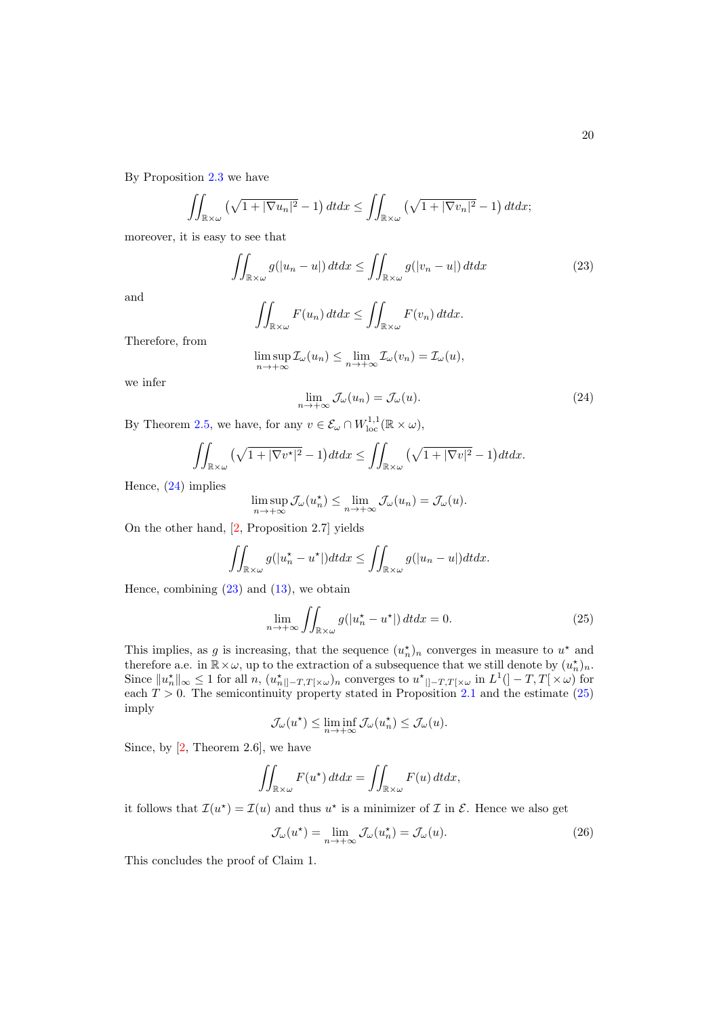By Proposition [2.3](#page-8-0) we have

$$
\iint_{\mathbb{R}\times\omega} \left(\sqrt{1+|\nabla u_n|^2}-1\right) dt dx \le \iint_{\mathbb{R}\times\omega} \left(\sqrt{1+|\nabla v_n|^2}-1\right) dt dx;
$$

moreover, it is easy to see that

<span id="page-19-1"></span>
$$
\iint_{\mathbb{R}\times\omega} g(|u_n - u|) \, dt dx \le \iint_{\mathbb{R}\times\omega} g(|v_n - u|) \, dt dx \tag{23}
$$

and

$$
\iint_{\mathbb{R}\times\omega} F(u_n)\,dtdx \le \iint_{\mathbb{R}\times\omega} F(v_n)\,dtdx.
$$

Therefore, from

$$
\limsup_{n \to +\infty} \mathcal{I}_{\omega}(u_n) \le \lim_{n \to +\infty} \mathcal{I}_{\omega}(v_n) = \mathcal{I}_{\omega}(u),
$$

<span id="page-19-0"></span>we infer

$$
\lim_{n \to +\infty} \mathcal{J}_{\omega}(u_n) = \mathcal{J}_{\omega}(u). \tag{24}
$$

By Theorem [2.5,](#page-9-0) we have, for any  $v \in \mathcal{E}_{\omega} \cap W_{\text{loc}}^{1,1}(\mathbb{R} \times \omega)$ ,

$$
\iint_{\mathbb{R}\times\omega} \left(\sqrt{1+|\nabla v^\star|^2}-1\right) dt dx \le \iint_{\mathbb{R}\times\omega} \left(\sqrt{1+|\nabla v|^2}-1\right) dt dx.
$$

Hence, [\(24\)](#page-19-0) implies

$$
\limsup_{n \to +\infty} \mathcal{J}_{\omega}(u_n^*) \le \lim_{n \to +\infty} \mathcal{J}_{\omega}(u_n) = \mathcal{J}_{\omega}(u).
$$

On the other hand, [\[2,](#page-24-1) Proposition 2.7] yields

$$
\iint_{\mathbb{R}\times\omega} g(|u_n^{\star}-u^{\star}|)dt dx \le \iint_{\mathbb{R}\times\omega} g(|u_n-u|)dt dx.
$$

Hence, combining  $(23)$  and  $(13)$ , we obtain

<span id="page-19-2"></span>
$$
\lim_{n \to +\infty} \iint_{\mathbb{R} \times \omega} g(|u_n^* - u^*|) dt dx = 0.
$$
 (25)

This implies, as g is increasing, that the sequence  $(u_n^{\star})_n$  converges in measure to  $u^{\star}$  and therefore a.e. in  $\mathbb{R}\times\omega$ , up to the extraction of a subsequence that we still denote by  $(u_n^{\star})_n$ . Since  $||u_n^*||_{\infty} \leq 1$  for all  $n, (u_{n||-T,T[\times\omega})_n$  converges to  $u^*_{||-T,T[\times\omega)}$  in  $L^1(]-T,T[\times\omega)$  for each  $T > 0$ . The semicontinuity property stated in Proposition [2.1](#page-6-2) and the estimate [\(25\)](#page-19-2) imply

$$
\mathcal{J}_{\omega}(u^*) \leq \liminf_{n \to +\infty} \mathcal{J}_{\omega}(u_n^*) \leq \mathcal{J}_{\omega}(u).
$$

Since, by  $[2,$  Theorem 2.6, we have

$$
\iint_{\mathbb{R}\times\omega} F(u^*)\,dtdx = \iint_{\mathbb{R}\times\omega} F(u)\,dtdx,
$$

it follows that  $\mathcal{I}(u^*) = \mathcal{I}(u)$  and thus  $u^*$  is a minimizer of  $\mathcal I$  in  $\mathcal E$ . Hence we also get

<span id="page-19-3"></span>
$$
\mathcal{J}_{\omega}(u^*) = \lim_{n \to +\infty} \mathcal{J}_{\omega}(u_n^*) = \mathcal{J}_{\omega}(u). \tag{26}
$$

This concludes the proof of Claim 1.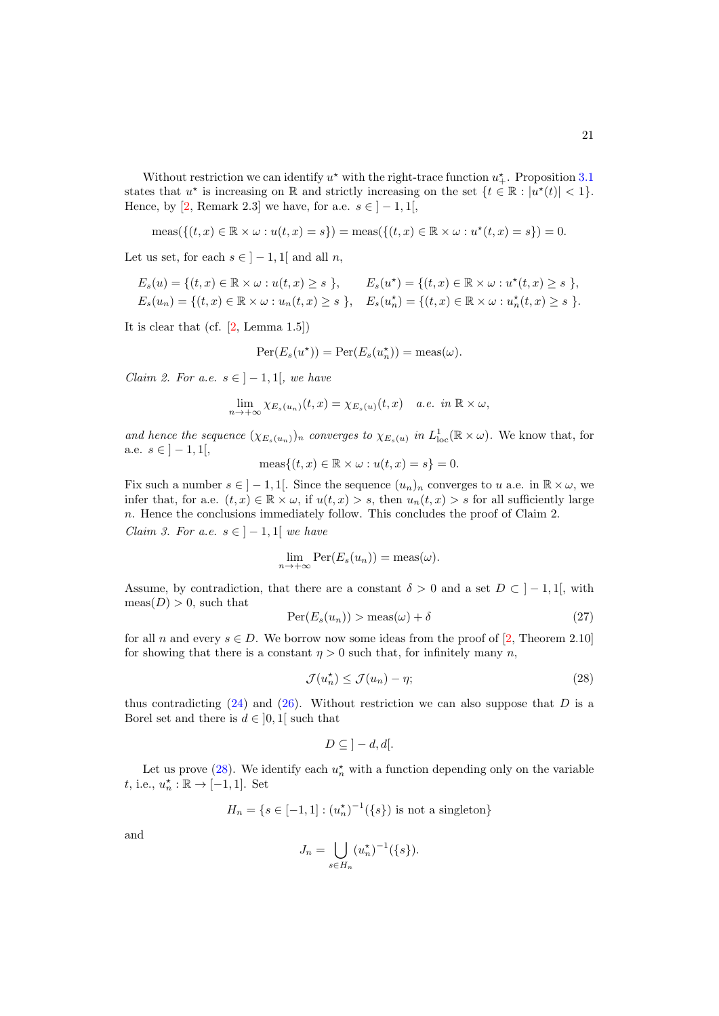21

Without restriction we can identify  $u^*$  with the right-trace function  $u^*_{+}$ . Proposition [3.1](#page-10-0) states that  $u^*$  is increasing on R and strictly increasing on the set  $\{t \in \mathbb{R} : |u^*(t)| < 1\}.$ Hence, by [\[2,](#page-24-1) Remark 2.3] we have, for a.e.  $s \in \{-1, 1\}$ ,

$$
\operatorname{meas}(\{(t,x)\in\mathbb{R}\times\omega:u(t,x)=s\})=\operatorname{meas}(\{(t,x)\in\mathbb{R}\times\omega:u^{\star}(t,x)=s\})=0.
$$

Let us set, for each  $s \in ]-1,1[$  and all n,

$$
E_s(u) = \{(t, x) \in \mathbb{R} \times \omega : u(t, x) \ge s \}, \qquad E_s(u^*) = \{(t, x) \in \mathbb{R} \times \omega : u^*(t, x) \ge s \},
$$
  

$$
E_s(u_n) = \{(t, x) \in \mathbb{R} \times \omega : u_n(t, x) \ge s \}, \qquad E_s(u_n^*) = \{(t, x) \in \mathbb{R} \times \omega : u_n^*(t, x) \ge s \}.
$$

It is clear that (cf. [\[2,](#page-24-1) Lemma 1.5])

$$
Per(E_s(u^*)) = Per(E_s(u_n^*)) = meas(\omega).
$$

Claim 2. For a.e.  $s \in |-1,1|$ , we have

$$
\lim_{n \to +\infty} \chi_{E_s(u_n)}(t,x) = \chi_{E_s(u)}(t,x) \quad a.e. \text{ in } \mathbb{R} \times \omega,
$$

and hence the sequence  $(\chi_{E_s(u_n)})_n$  converges to  $\chi_{E_s(u)}$  in  $L^1_{loc}(\mathbb{R} \times \omega)$ . We know that, for a.e.  $s \in ]-1,1[,$ 

$$
\operatorname{meas}\{(t,x)\in\mathbb{R}\times\omega:u(t,x)=s\}=0.
$$

Fix such a number  $s \in ]-1,1[$ . Since the sequence  $(u_n)_n$  converges to u a.e. in  $\mathbb{R} \times \omega$ , we infer that, for a.e.  $(t, x) \in \mathbb{R} \times \omega$ , if  $u(t, x) > s$ , then  $u_n(t, x) > s$  for all sufficiently large n. Hence the conclusions immediately follow. This concludes the proof of Claim 2. *Claim 3. For a.e.*  $s \in ]-1,1[$  *we have* 

$$
\lim_{n \to +\infty} \operatorname{Per}(E_s(u_n)) = \operatorname{meas}(\omega).
$$

Assume, by contradiction, that there are a constant  $\delta > 0$  and a set  $D \subset ]-1,1[$ , with  $meas(D) > 0$ , such that

<span id="page-20-1"></span>
$$
\operatorname{Per}(E_s(u_n)) > \operatorname{meas}(\omega) + \delta \tag{27}
$$

for all n and every  $s \in D$ . We borrow now some ideas from the proof of [\[2,](#page-24-1) Theorem 2.10] for showing that there is a constant  $\eta > 0$  such that, for infinitely many n,

<span id="page-20-0"></span>
$$
\mathcal{J}(u_n^*) \le \mathcal{J}(u_n) - \eta; \tag{28}
$$

thus contradicting  $(24)$  and  $(26)$ . Without restriction we can also suppose that D is a Borel set and there is  $d \in [0,1]$  such that

$$
D \subseteq \, ]-d, d[.
$$

Let us prove [\(28\)](#page-20-0). We identify each  $u_n^*$  with a function depending only on the variable t, i.e.,  $u_n^* : \mathbb{R} \to [-1, 1]$ . Set

$$
H_n = \{ s \in [-1, 1] : (u_n^*)^{-1}(\{s\}) \text{ is not a singleton} \}
$$

and

$$
J_n = \bigcup_{s \in H_n} (u_n^*)^{-1}(\{s\}).
$$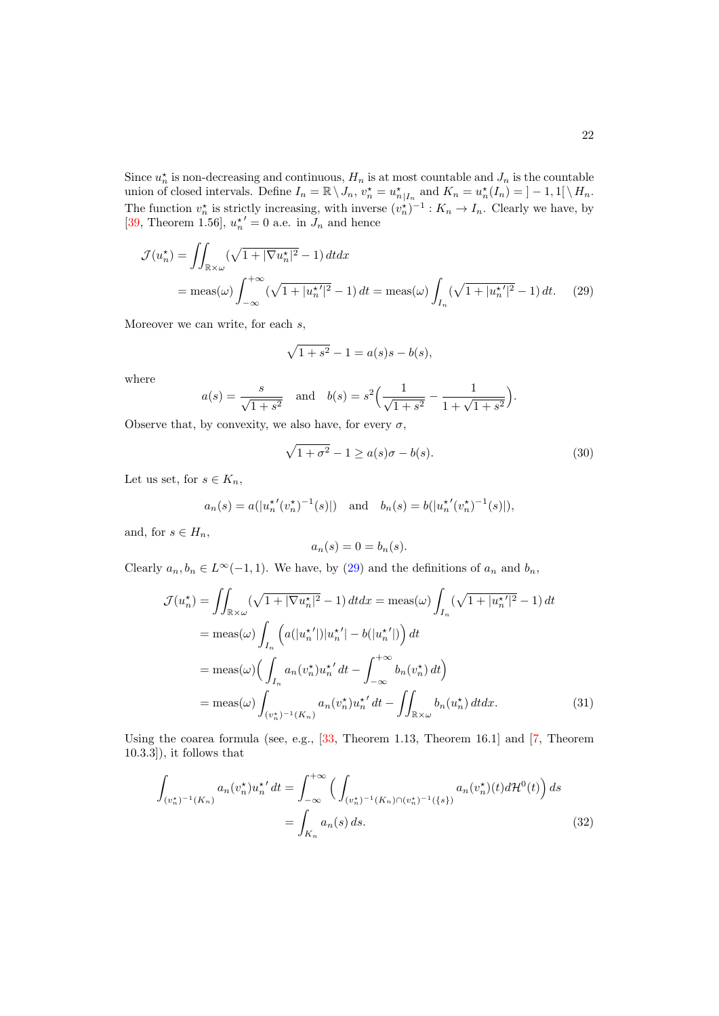Since  $u_n^*$  is non-decreasing and continuous,  $H_n$  is at most countable and  $J_n$  is the countable union of closed intervals. Define  $I_n = \mathbb{R} \setminus J_n$ ,  $v_n^* = u_{n|I_n}^*$  and  $K_n = u_n^*(I_n) = ]-1,1[ \setminus H_n]$ . The function  $v_n^*$  is strictly increasing, with inverse  $(v_n^*)^{-1}$ :  $K_n \to I_n$ . Clearly we have, by [\[39,](#page-27-5) Theorem 1.56],  $u_n^{\star'} = 0$  a.e. in  $J_n$  and hence

$$
\mathcal{J}(u_n^*) = \iint_{\mathbb{R}\times\omega} (\sqrt{1+|\nabla u_n^*|^2} - 1) dt dx
$$
  
= meas(\omega) 
$$
\int_{-\infty}^{+\infty} (\sqrt{1+|u_n^{\star}|^2} - 1) dt = \text{meas}(\omega) \int_{I_n} (\sqrt{1+|u_n^{\star}|^2} - 1) dt. \tag{29}
$$

Moreover we can write, for each  $s$ ,

<span id="page-21-0"></span>
$$
\sqrt{1+s^2} - 1 = a(s)s - b(s),
$$

where

$$
a(s) = \frac{s}{\sqrt{1+s^2}}
$$
 and  $b(s) = s^2 \left(\frac{1}{\sqrt{1+s^2}} - \frac{1}{1+\sqrt{1+s^2}}\right).$ 

Observe that, by convexity, we also have, for every  $\sigma$ ,

<span id="page-21-3"></span>
$$
\sqrt{1+\sigma^2} - 1 \ge a(s)\sigma - b(s). \tag{30}
$$

Let us set, for  $s \in K_n$ ,

$$
a_n(s) = a(|u_n^{\star'}(v_n^{\star})^{-1}(s)|)
$$
 and  $b_n(s) = b(|u_n^{\star'}(v_n^{\star})^{-1}(s)|)$ ,

and, for  $s \in H_n$ ,

<span id="page-21-2"></span><span id="page-21-1"></span>
$$
a_n(s) = 0 = b_n(s).
$$

Clearly  $a_n, b_n \in L^{\infty}(-1, 1)$ . We have, by [\(29\)](#page-21-0) and the definitions of  $a_n$  and  $b_n$ ,

$$
\mathcal{J}(u_n^*) = \iint_{\mathbb{R}\times\omega} (\sqrt{1+|\nabla u_n^*|^2} - 1) dt dx = \text{meas}(\omega) \int_{I_n} (\sqrt{1+|u_n^*|^2} - 1) dt
$$
  
\n
$$
= \text{meas}(\omega) \int_{I_n} \left( a(|u_n^*|)|u_n^*| - b(|u_n^*|) \right) dt
$$
  
\n
$$
= \text{meas}(\omega) \Big( \int_{I_n} a_n(v_n^*) u_n^* dt - \int_{-\infty}^{+\infty} b_n(v_n^*) dt \Big)
$$
  
\n
$$
= \text{meas}(\omega) \int_{(v_n^*)^{-1}(K_n)} a_n(v_n^*) u_n^{*'} dt - \iint_{\mathbb{R}\times\omega} b_n(u_n^*) dt dx.
$$
 (31)

Using the coarea formula (see, e.g., [\[33,](#page-26-15) Theorem 1.13, Theorem 16.1] and [\[7,](#page-25-16) Theorem 10.3.3]), it follows that

$$
\int_{(v_n^{\star})^{-1}(K_n)} a_n(v_n^{\star}) u_n^{\star'} dt = \int_{-\infty}^{+\infty} \left( \int_{(v_n^{\star})^{-1}(K_n) \cap (v_n^{\star})^{-1}(\{s\})} a_n(v_n^{\star})(t) d\mathcal{H}^0(t) \right) ds
$$
\n
$$
= \int_{K_n} a_n(s) ds. \tag{32}
$$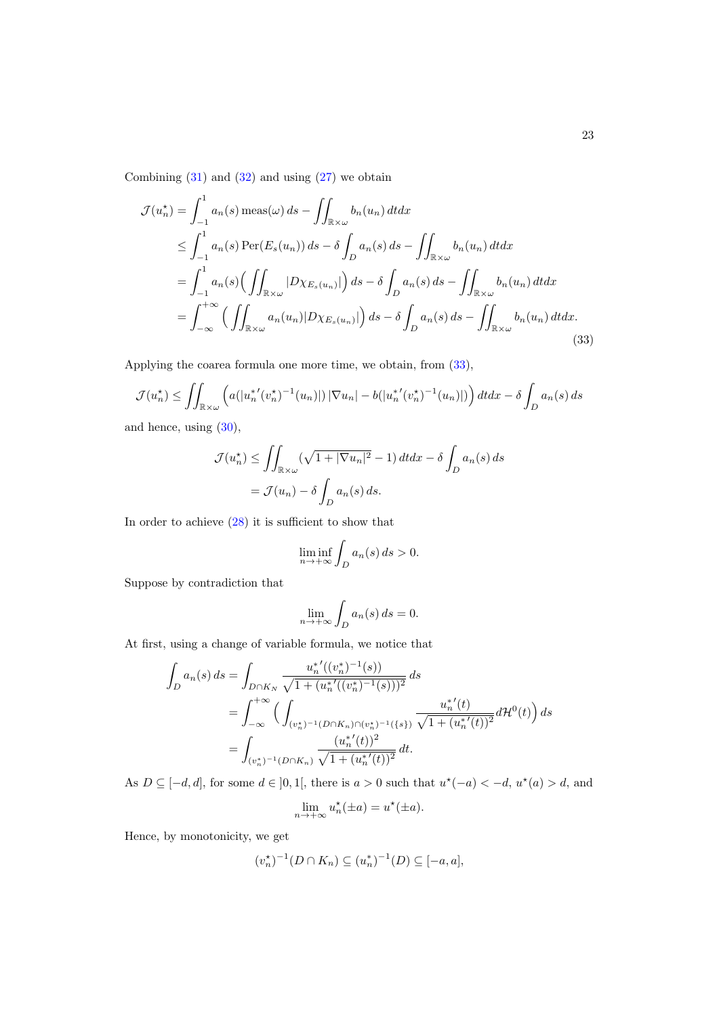Combining  $(31)$  and  $(32)$  and using  $(27)$  we obtain

$$
\mathcal{J}(u_n^*) = \int_{-1}^1 a_n(s) \operatorname{meas}(\omega) ds - \iint_{\mathbb{R}\times\omega} b_n(u_n) dt dx
$$
  
\n
$$
\leq \int_{-1}^1 a_n(s) \operatorname{Per}(E_s(u_n)) ds - \delta \int_D a_n(s) ds - \iint_{\mathbb{R}\times\omega} b_n(u_n) dt dx
$$
  
\n
$$
= \int_{-1}^1 a_n(s) \Big( \iint_{\mathbb{R}\times\omega} |D\chi_{E_s(u_n)}| \Big) ds - \delta \int_D a_n(s) ds - \iint_{\mathbb{R}\times\omega} b_n(u_n) dt dx
$$
  
\n
$$
= \int_{-\infty}^{+\infty} \Big( \iint_{\mathbb{R}\times\omega} a_n(u_n) |D\chi_{E_s(u_n)}| \Big) ds - \delta \int_D a_n(s) ds - \iint_{\mathbb{R}\times\omega} b_n(u_n) dt dx.
$$
\n(33)

Applying the coarea formula one more time, we obtain, from [\(33\)](#page-22-0),

$$
\mathcal{J}(u_n^{\star}) \leq \iint_{\mathbb{R}\times\omega} \left( a(|u_n^{*'}(v_n^{\star})^{-1}(u_n)|) |\nabla u_n| - b(|u_n^{*'}(v_n^{\star})^{-1}(u_n)|) \right) dt dx - \delta \int_D a_n(s) ds
$$

and hence, using [\(30\)](#page-21-3),

$$
\mathcal{J}(u_n^*) \le \iint_{\mathbb{R}\times\omega} (\sqrt{1+|\nabla u_n|^2} - 1) dt dx - \delta \int_D a_n(s) ds
$$

$$
= \mathcal{J}(u_n) - \delta \int_D a_n(s) ds.
$$

In order to achieve [\(28\)](#page-20-0) it is sufficient to show that

<span id="page-22-0"></span>
$$
\liminf_{n \to +\infty} \int_D a_n(s) \, ds > 0.
$$

Suppose by contradiction that

$$
\lim_{n \to +\infty} \int_D a_n(s) \, ds = 0.
$$

At first, using a change of variable formula, we notice that

$$
\int_{D} a_n(s) ds = \int_{D \cap K_N} \frac{u_n^{*'}((v_n^{*})^{-1}(s))}{\sqrt{1 + (u_n^{*'}((v_n^{*})^{-1}(s)))^2}} ds
$$
  
\n
$$
= \int_{-\infty}^{+\infty} \Big( \int_{(v_n^{*})^{-1}(D \cap K_n) \cap (v_n^{*})^{-1}(\{s\})} \frac{u_n^{*'}(t)}{\sqrt{1 + (u_n^{*'}(t))^2}} d\mathcal{H}^{0}(t) \Big) ds
$$
  
\n
$$
= \int_{(v_n^{*})^{-1}(D \cap K_n)} \frac{(u_n^{*'}(t))^2}{\sqrt{1 + (u_n^{*'}(t))^2}} dt.
$$

As  $D \subseteq [-d, d]$ , for some  $d \in [0, 1]$ , there is  $a > 0$  such that  $u^*(-a) < -d$ ,  $u^*(a) > d$ , and

$$
\lim_{n \to +\infty} u_n^*(\pm a) = u^*(\pm a).
$$

Hence, by monotonicity, we get

$$
(v_n^*)^{-1}(D \cap K_n) \subseteq (u_n^*)^{-1}(D) \subseteq [-a, a],
$$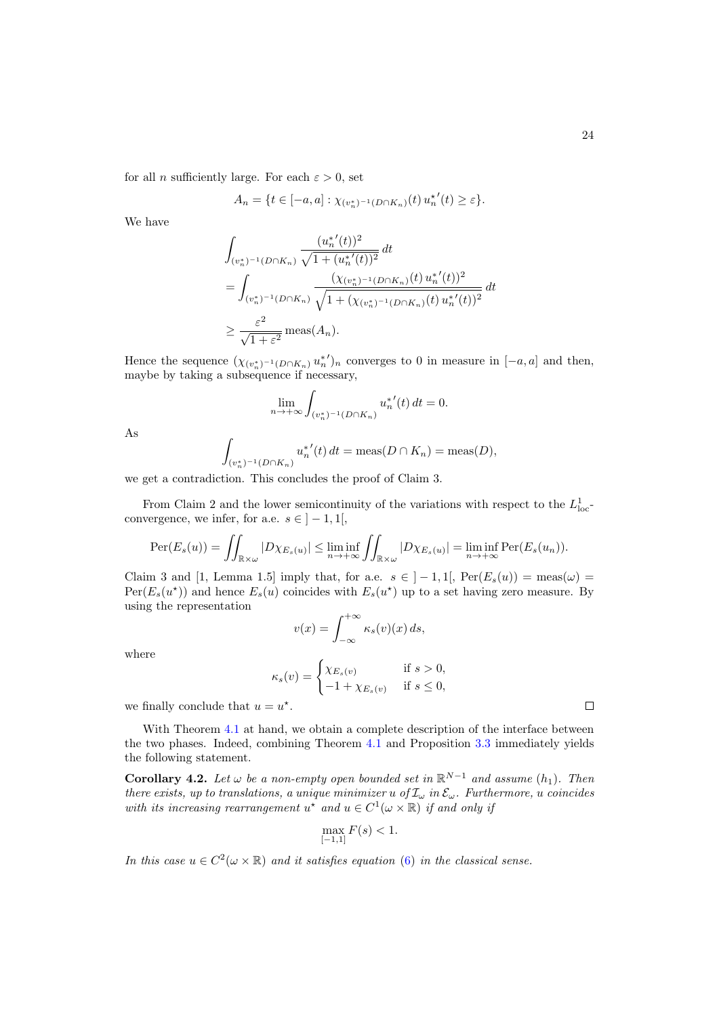for all *n* sufficiently large. For each  $\varepsilon > 0$ , set

$$
A_n = \{t \in [-a,a] : \chi_{(\upsilon_n^*)^{-1}(D \cap K_n)}(t) u_n^{\star'}(t) \geq \varepsilon\}.
$$

We have

$$
\int_{(v_n^*)^{-1}(D\cap K_n)} \frac{(u_n^{*'}(t))^2}{\sqrt{1 + (u_n^{*'}(t))^2}} dt
$$
\n
$$
= \int_{(v_n^*)^{-1}(D\cap K_n)} \frac{(\chi_{(v_n^*)^{-1}(D\cap K_n)}(t) u_n^{*'}(t))^2}{\sqrt{1 + (\chi_{(v_n^*)^{-1}(D\cap K_n)}(t) u_n^{*'}(t))^2}} dt
$$
\n
$$
\geq \frac{\varepsilon^2}{\sqrt{1 + \varepsilon^2}} \operatorname{meas}(A_n).
$$

Hence the sequence  $(\chi_{(v_n^*)^{-1}(D \cap K_n)} u_n^{*'}|_n$  converges to 0 in measure in  $[-a, a]$  and then, maybe by taking a subsequence if necessary,

$$
\lim_{n \to +\infty} \int_{(v_n^*)^{-1}(D \cap K_n)} u_n^{*'}(t) dt = 0.
$$

As

$$
\int_{(v_n^*)^{-1}(D \cap K_n)} u_n^{*'}(t) dt = \text{meas}(D \cap K_n) = \text{meas}(D),
$$

we get a contradiction. This concludes the proof of Claim 3.

From Claim 2 and the lower semicontinuity of the variations with respect to the  $L^1_{\text{loc}}$ convergence, we infer, for a.e.  $s \in ]-1,1[,$ 

$$
\operatorname{Per}(E_s(u)) = \iint_{\mathbb{R}\times\omega} |D\chi_{E_s(u)}| \le \liminf_{n\to+\infty} \iint_{\mathbb{R}\times\omega} |D\chi_{E_s(u)}| = \liminf_{n\to+\infty} \operatorname{Per}(E_s(u_n)).
$$

Claim 3 and [1, Lemma 1.5] imply that, for a.e.  $s \in |-1, 1|$ ,  $\text{Per}(E_s(u)) = \text{meas}(\omega)$  $Per(E_s(u^*))$  and hence  $E_s(u)$  coincides with  $E_s(u^*)$  up to a set having zero measure. By using the representation

$$
v(x) = \int_{-\infty}^{+\infty} \kappa_s(v)(x) \, ds,
$$

where

$$
\kappa_s(v) = \begin{cases} \chi_{E_s(v)} & \text{if } s > 0, \\ -1 + \chi_{E_s(v)} & \text{if } s \le 0, \end{cases}
$$

we finally conclude that  $u = u^*$ .

With Theorem [4.1](#page-18-0) at hand, we obtain a complete description of the interface between the two phases. Indeed, combining Theorem [4.1](#page-18-0) and Proposition [3.3](#page-14-0) immediately yields the following statement.

**Corollary 4.2.** Let  $\omega$  be a non-empty open bounded set in  $\mathbb{R}^{N-1}$  and assume  $(h_1)$ . Then there exists, up to translations, a unique minimizer u of  $\mathcal{I}_{\omega}$  in  $\mathcal{E}_{\omega}$ . Furthermore, u coincides with its increasing rearrangement  $u^*$  and  $u \in C^1(\omega \times \mathbb{R})$  if and only if

$$
\max_{[-1,1]} F(s) < 1.
$$

In this case  $u \in C^2(\omega \times \mathbb{R})$  and it satisfies equation [\(6\)](#page-3-1) in the classical sense.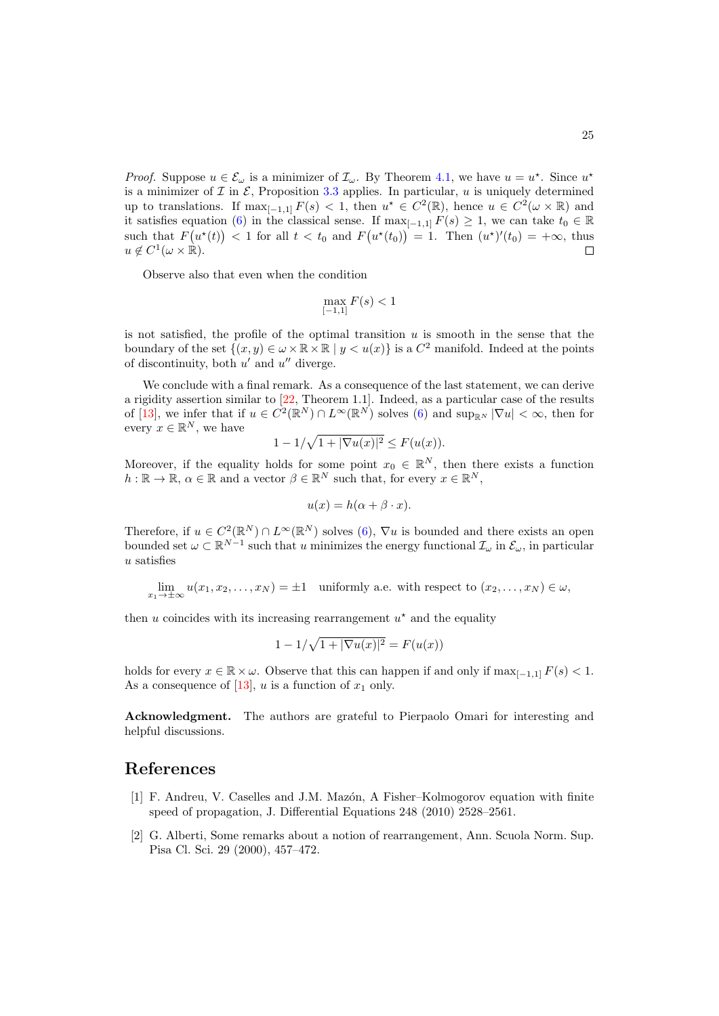*Proof.* Suppose  $u \in \mathcal{E}_{\omega}$  is a minimizer of  $\mathcal{I}_{\omega}$ . By Theorem [4.1,](#page-18-0) we have  $u = u^*$ . Since  $u^*$ is a minimizer of  $\mathcal I$  in  $\mathcal E$ , Proposition [3.3](#page-14-0) applies. In particular, u is uniquely determined up to translations. If  $\max_{[-1,1]} F(s) < 1$ , then  $u^* \in C^2(\mathbb{R})$ , hence  $u \in C^2(\omega \times \mathbb{R})$  and it satisfies equation [\(6\)](#page-3-1) in the classical sense. If  $\max_{[-1,1]} F(s) \geq 1$ , we can take  $t_0 \in \mathbb{R}$ such that  $F(u^*(t)) < 1$  for all  $t < t_0$  and  $F(u^*(t_0)) = 1$ . Then  $(u^*)'(t_0) = +\infty$ , thus  $u \notin C^1(\omega \times \mathbb{R}).$  $\Box$ 

Observe also that even when the condition

$$
\max_{[-1,1]} F(s) < 1
$$

is not satisfied, the profile of the optimal transition  $u$  is smooth in the sense that the boundary of the set  $\{(x, y) \in \omega \times \mathbb{R} \times \mathbb{R} \mid y < u(x)\}\$ is a  $C^2$  manifold. Indeed at the points of discontinuity, both  $u'$  and  $u''$  diverge.

We conclude with a final remark. As a consequence of the last statement, we can derive a rigidity assertion similar to [\[22,](#page-26-10) Theorem 1.1]. Indeed, as a particular case of the results of [\[13\]](#page-25-12), we infer that if  $u \in C^2(\mathbb{R}^N) \cap L^\infty(\mathbb{R}^N)$  solves [\(6\)](#page-3-1) and  $\sup_{\mathbb{R}^N} |\nabla u| < \infty$ , then for every  $x \in \mathbb{R}^N$ , we have

$$
1 - 1/\sqrt{1 + |\nabla u(x)|^2} \le F(u(x)).
$$

Moreover, if the equality holds for some point  $x_0 \in \mathbb{R}^N$ , then there exists a function  $h: \mathbb{R} \to \mathbb{R}, \, \alpha \in \mathbb{R}$  and a vector  $\beta \in \mathbb{R}^N$  such that, for every  $x \in \mathbb{R}^N$ ,

$$
u(x) = h(\alpha + \beta \cdot x).
$$

Therefore, if  $u \in C^2(\mathbb{R}^N) \cap L^{\infty}(\mathbb{R}^N)$  solves  $(6)$ ,  $\nabla u$  is bounded and there exists an open bounded set  $\omega \subset \mathbb{R}^{N-1}$  such that u minimizes the energy functional  $\mathcal{I}_{\omega}$  in  $\mathcal{E}_{\omega}$ , in particular u satisfies

$$
\lim_{x_1 \to \pm \infty} u(x_1, x_2, \dots, x_N) = \pm 1 \quad \text{uniformly a.e. with respect to } (x_2, \dots, x_N) \in \omega,
$$

then  $u$  coincides with its increasing rearrangement  $u^*$  and the equality

$$
1 - 1/\sqrt{1 + |\nabla u(x)|^2} = F(u(x))
$$

holds for every  $x \in \mathbb{R} \times \omega$ . Observe that this can happen if and only if  $\max_{[-1,1]} F(s) < 1$ . As a consequence of [\[13\]](#page-25-12), u is a function of  $x_1$  only.

Acknowledgment. The authors are grateful to Pierpaolo Omari for interesting and helpful discussions.

## References

- <span id="page-24-0"></span>[1] F. Andreu, V. Caselles and J.M. Mazón, A Fisher–Kolmogorov equation with finite speed of propagation, J. Differential Equations 248 (2010) 2528–2561.
- <span id="page-24-1"></span>[2] G. Alberti, Some remarks about a notion of rearrangement, Ann. Scuola Norm. Sup. Pisa Cl. Sci. 29 (2000), 457–472.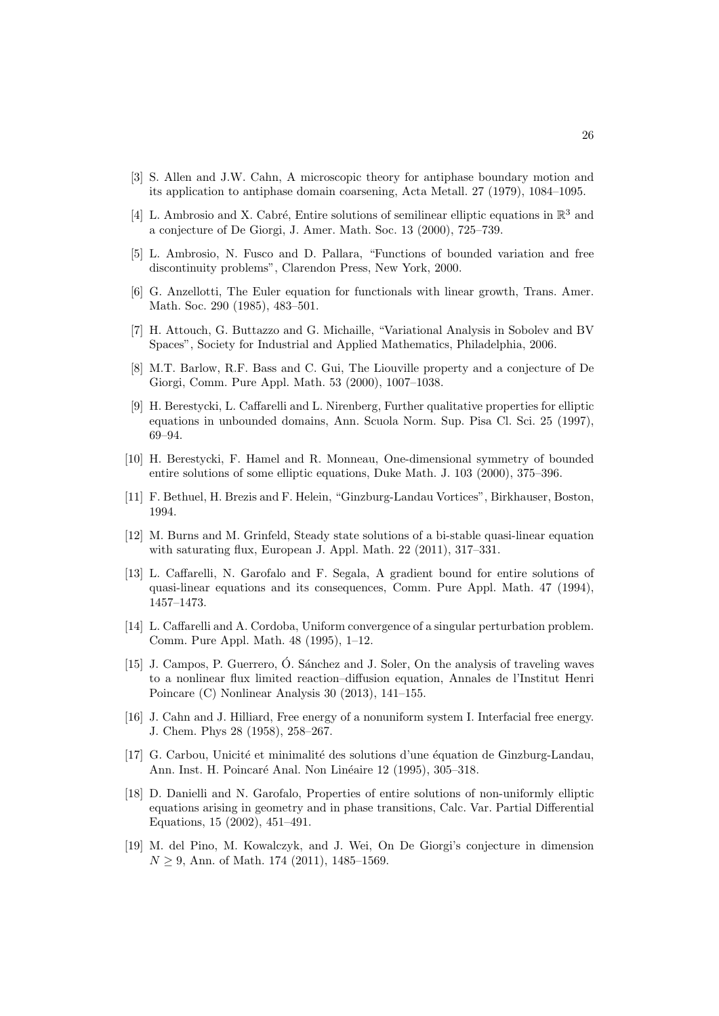- <span id="page-25-1"></span>[3] S. Allen and J.W. Cahn, A microscopic theory for antiphase boundary motion and its application to antiphase domain coarsening, Acta Metall. 27 (1979), 1084–1095.
- <span id="page-25-6"></span>[4] L. Ambrosio and X. Cabré, Entire solutions of semilinear elliptic equations in  $\mathbb{R}^3$  and a conjecture of De Giorgi, J. Amer. Math. Soc. 13 (2000), 725–739.
- <span id="page-25-15"></span>[5] L. Ambrosio, N. Fusco and D. Pallara, "Functions of bounded variation and free discontinuity problems", Clarendon Press, New York, 2000.
- <span id="page-25-14"></span>[6] G. Anzellotti, The Euler equation for functionals with linear growth, Trans. Amer. Math. Soc. 290 (1985), 483–501.
- <span id="page-25-16"></span>[7] H. Attouch, G. Buttazzo and G. Michaille, "Variational Analysis in Sobolev and BV Spaces", Society for Industrial and Applied Mathematics, Philadelphia, 2006.
- <span id="page-25-10"></span>[8] M.T. Barlow, R.F. Bass and C. Gui, The Liouville property and a conjecture of De Giorgi, Comm. Pure Appl. Math. 53 (2000), 1007–1038.
- <span id="page-25-7"></span>[9] H. Berestycki, L. Caffarelli and L. Nirenberg, Further qualitative properties for elliptic equations in unbounded domains, Ann. Scuola Norm. Sup. Pisa Cl. Sci. 25 (1997), 69–94.
- <span id="page-25-11"></span>[10] H. Berestycki, F. Hamel and R. Monneau, One-dimensional symmetry of bounded entire solutions of some elliptic equations, Duke Math. J. 103 (2000), 375–396.
- <span id="page-25-2"></span>[11] F. Bethuel, H. Brezis and F. Helein, "Ginzburg-Landau Vortices", Birkhauser, Boston, 1994.
- <span id="page-25-4"></span>[12] M. Burns and M. Grinfeld, Steady state solutions of a bi-stable quasi-linear equation with saturating flux, European J. Appl. Math. 22 (2011), 317–331.
- <span id="page-25-12"></span>[13] L. Caffarelli, N. Garofalo and F. Segala, A gradient bound for entire solutions of quasi-linear equations and its consequences, Comm. Pure Appl. Math. 47 (1994), 1457–1473.
- <span id="page-25-3"></span>[14] L. Caffarelli and A. Cordoba, Uniform convergence of a singular perturbation problem. Comm. Pure Appl. Math. 48 (1995), 1–12.
- <span id="page-25-5"></span>[15] J. Campos, P. Guerrero, O. Sánchez and J. Soler, On the analysis of traveling waves to a nonlinear flux limited reaction–diffusion equation, Annales de l'Institut Henri Poincare (C) Nonlinear Analysis 30 (2013), 141–155.
- <span id="page-25-0"></span>[16] J. Cahn and J. Hilliard, Free energy of a nonuniform system I. Interfacial free energy. J. Chem. Phys 28 (1958), 258–267.
- <span id="page-25-9"></span>[17] G. Carbou, Unicité et minimalité des solutions d'une équation de Ginzburg-Landau, Ann. Inst. H. Poincaré Anal. Non Linéaire 12 (1995), 305–318.
- <span id="page-25-13"></span>[18] D. Danielli and N. Garofalo, Properties of entire solutions of non-uniformly elliptic equations arising in geometry and in phase transitions, Calc. Var. Partial Differential Equations, 15 (2002), 451–491.
- <span id="page-25-8"></span>[19] M. del Pino, M. Kowalczyk, and J. Wei, On De Giorgi's conjecture in dimension  $N > 9$ , Ann. of Math. 174 (2011), 1485–1569.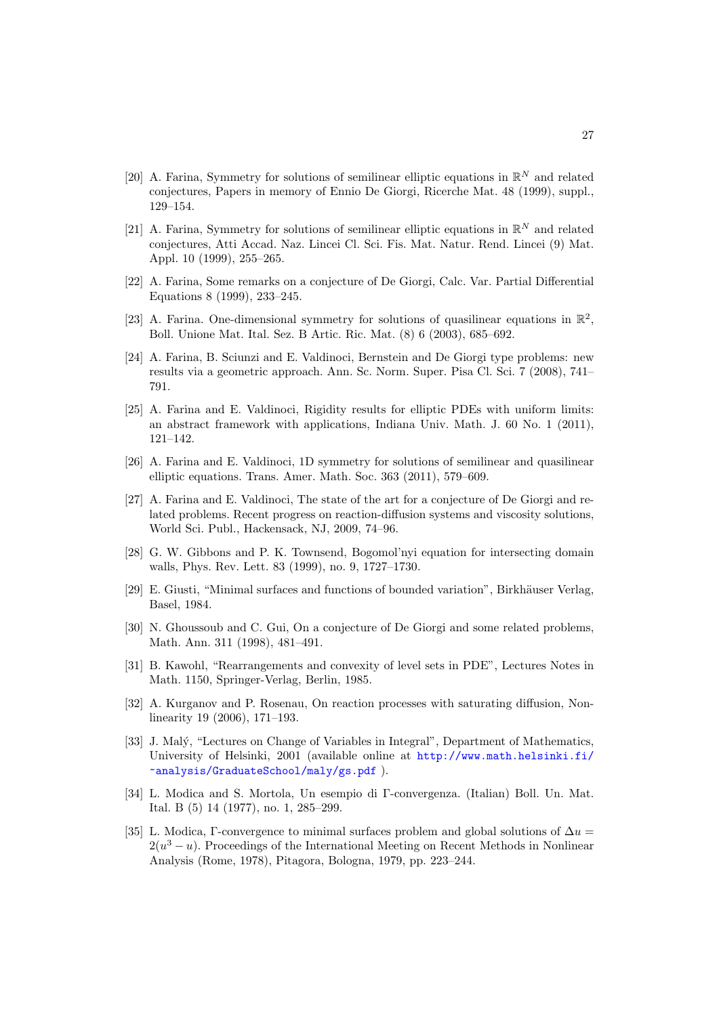- <span id="page-26-7"></span>[20] A. Farina, Symmetry for solutions of semilinear elliptic equations in  $\mathbb{R}^N$  and related conjectures, Papers in memory of Ennio De Giorgi, Ricerche Mat. 48 (1999), suppl., 129–154.
- <span id="page-26-8"></span>[21] A. Farina, Symmetry for solutions of semilinear elliptic equations in  $\mathbb{R}^N$  and related conjectures, Atti Accad. Naz. Lincei Cl. Sci. Fis. Mat. Natur. Rend. Lincei (9) Mat. Appl. 10 (1999), 255–265.
- <span id="page-26-10"></span>[22] A. Farina, Some remarks on a conjecture of De Giorgi, Calc. Var. Partial Differential Equations 8 (1999), 233–245.
- <span id="page-26-11"></span>[23] A. Farina. One-dimensional symmetry for solutions of quasilinear equations in  $\mathbb{R}^2$ , Boll. Unione Mat. Ital. Sez. B Artic. Ric. Mat. (8) 6 (2003), 685–692.
- <span id="page-26-12"></span>[24] A. Farina, B. Sciunzi and E. Valdinoci, Bernstein and De Giorgi type problems: new results via a geometric approach. Ann. Sc. Norm. Super. Pisa Cl. Sci. 7 (2008), 741– 791.
- <span id="page-26-9"></span>[25] A. Farina and E. Valdinoci, Rigidity results for elliptic PDEs with uniform limits: an abstract framework with applications, Indiana Univ. Math. J. 60 No. 1 (2011), 121–142.
- <span id="page-26-6"></span>[26] A. Farina and E. Valdinoci, 1D symmetry for solutions of semilinear and quasilinear elliptic equations. Trans. Amer. Math. Soc. 363 (2011), 579–609.
- <span id="page-26-5"></span>[27] A. Farina and E. Valdinoci, The state of the art for a conjecture of De Giorgi and related problems. Recent progress on reaction-diffusion systems and viscosity solutions, World Sci. Publ., Hackensack, NJ, 2009, 74–96.
- <span id="page-26-0"></span>[28] G. W. Gibbons and P. K. Townsend, Bogomol'nyi equation for intersecting domain walls, Phys. Rev. Lett. 83 (1999), no. 9, 1727–1730.
- <span id="page-26-13"></span>[29] E. Giusti, "Minimal surfaces and functions of bounded variation", Birkhäuser Verlag, Basel, 1984.
- <span id="page-26-4"></span>[30] N. Ghoussoub and C. Gui, On a conjecture of De Giorgi and some related problems, Math. Ann. 311 (1998), 481–491.
- <span id="page-26-14"></span>[31] B. Kawohl, "Rearrangements and convexity of level sets in PDE", Lectures Notes in Math. 1150, Springer-Verlag, Berlin, 1985.
- <span id="page-26-3"></span>[32] A. Kurganov and P. Rosenau, On reaction processes with saturating diffusion, Nonlinearity 19 (2006), 171–193.
- <span id="page-26-15"></span>[33] J. Mal´y, "Lectures on Change of Variables in Integral", Department of Mathematics, University of Helsinki, 2001 (available online at [http://www.math.helsinki.fi/](http://www.math.helsinki.fi/~analysis/GraduateSchool/maly/gs.pdf) [~analysis/GraduateSchool/maly/gs.pdf](http://www.math.helsinki.fi/~analysis/GraduateSchool/maly/gs.pdf) ).
- <span id="page-26-1"></span>[34] L. Modica and S. Mortola, Un esempio di Γ-convergenza. (Italian) Boll. Un. Mat. Ital. B (5) 14 (1977), no. 1, 285–299.
- <span id="page-26-2"></span>[35] L. Modica, Γ-convergence to minimal surfaces problem and global solutions of  $\Delta u =$  $2(u^3 - u)$ . Proceedings of the International Meeting on Recent Methods in Nonlinear Analysis (Rome, 1978), Pitagora, Bologna, 1979, pp. 223–244.